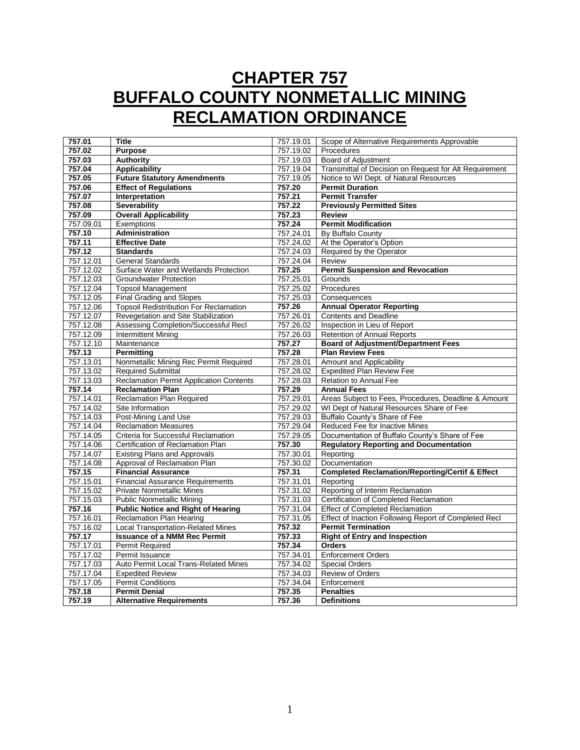# **CHAPTER 757 BUFFALO COUNTY NONMETALLIC MINING RECLAMATION ORDINANCE**

| 757.01    | <b>Title</b>                                   | 757.19.01 | Scope of Alternative Requirements Approvable               |
|-----------|------------------------------------------------|-----------|------------------------------------------------------------|
| 757.02    | <b>Purpose</b>                                 | 757.19.02 | Procedures                                                 |
| 757.03    | <b>Authority</b>                               | 757.19.03 | <b>Board of Adjustment</b>                                 |
| 757.04    | <b>Applicability</b>                           | 757.19.04 | Transmittal of Decision on Request for Alt Requirement     |
| 757.05    | <b>Future Statutory Amendments</b>             | 757.19.05 | Notice to WI Dept. of Natural Resources                    |
| 757.06    | <b>Effect of Regulations</b>                   | 757.20    | <b>Permit Duration</b>                                     |
| 757.07    | Interpretation                                 | 757.21    | <b>Permit Transfer</b>                                     |
| 757.08    | <b>Severability</b>                            | 757.22    | <b>Previously Permitted Sites</b>                          |
| 757.09    | <b>Overall Applicability</b>                   | 757.23    | <b>Review</b>                                              |
| 757.09.01 | <b>Exemptions</b>                              | 757.24    | <b>Permit Modification</b>                                 |
| 757.10    | <b>Administration</b>                          | 757.24.01 | By Buffalo County                                          |
| 757.11    | <b>Effective Date</b>                          | 757.24.02 | At the Operator's Option                                   |
| 757.12    | <b>Standards</b>                               | 757.24.03 | Required by the Operator                                   |
| 757.12.01 | <b>General Standards</b>                       | 757.24.04 | Review                                                     |
| 757.12.02 | Surface Water and Wetlands Protection          | 757.25    | <b>Permit Suspension and Revocation</b>                    |
| 757.12.03 | <b>Groundwater Protection</b>                  | 757.25.01 | Grounds                                                    |
| 757.12.04 | <b>Topsoil Management</b>                      | 757.25.02 | Procedures                                                 |
| 757.12.05 | <b>Final Grading and Slopes</b>                | 757.25.03 | Consequences                                               |
| 757.12.06 | <b>Topsoil Redistribution For Reclamation</b>  | 757.26    | <b>Annual Operator Reporting</b>                           |
| 757.12.07 | Revegetation and Site Stabilization            | 757.26.01 | <b>Contents and Deadline</b>                               |
| 757.12.08 | Assessing Completion/Successful Recl           | 757.26.02 | Inspection in Lieu of Report                               |
| 757.12.09 | <b>Intermittent Mining</b>                     | 757.26.03 | Retention of Annual Reports                                |
| 757.12.10 | Maintenance                                    | 757.27    | <b>Board of Adjustment/Department Fees</b>                 |
| 757.13    | <b>Permitting</b>                              | 757.28    | <b>Plan Review Fees</b>                                    |
| 757.13.01 | Nonmetallic Mining Rec Permit Required         | 757.28.01 | Amount and Applicability                                   |
| 757.13.02 | <b>Required Submittal</b>                      | 757.28.02 | <b>Expedited Plan Review Fee</b>                           |
| 757.13.03 | <b>Reclamation Permit Application Contents</b> | 757.28.03 | <b>Relation to Annual Fee</b>                              |
| 757.14    | <b>Reclamation Plan</b>                        | 757.29    | <b>Annual Fees</b>                                         |
| 757.14.01 | <b>Reclamation Plan Required</b>               | 757.29.01 | Areas Subject to Fees, Procedures, Deadline & Amount       |
| 757.14.02 | Site Information                               | 757.29.02 | WI Dept of Natural Resources Share of Fee                  |
| 757.14.03 | Post-Mining Land Use                           | 757.29.03 | Buffalo County's Share of Fee                              |
| 757.14.04 | <b>Reclamation Measures</b>                    | 757.29.04 | Reduced Fee for Inactive Mines                             |
| 757.14.05 | Criteria for Successful Reclamation            | 757.29.05 | Documentation of Buffalo County's Share of Fee             |
| 757.14.06 | Certification of Reclamation Plan              | 757.30    | <b>Regulatory Reporting and Documentation</b>              |
| 757.14.07 | <b>Existing Plans and Approvals</b>            | 757.30.01 | Reporting                                                  |
| 757.14.08 | Approval of Reclamation Plan                   | 757.30.02 | Documentation                                              |
| 757.15    | <b>Financial Assurance</b>                     | 757.31    | <b>Completed Reclamation/Reporting/Certif &amp; Effect</b> |
| 757.15.01 | <b>Financial Assurance Requirements</b>        | 757.31.01 | Reporting                                                  |
| 757.15.02 | <b>Private Nonmetallic Mines</b>               | 757.31.02 | Reporting of Interim Reclamation                           |
| 757.15.03 | <b>Public Nonmetallic Mining</b>               | 757.31.03 | Certification of Completed Reclamation                     |
| 757.16    | <b>Public Notice and Right of Hearing</b>      | 757.31.04 | <b>Effect of Completed Reclamation</b>                     |
| 757.16.01 | Reclamation Plan Hearing                       | 757.31.05 | Effect of Inaction Following Report of Completed Recl      |
| 757.16.02 | <b>Local Transportation-Related Mines</b>      | 757.32    | <b>Permit Termination</b>                                  |
| 757.17    | <b>Issuance of a NMM Rec Permit</b>            | 757.33    | <b>Right of Entry and Inspection</b>                       |
| 757.17.01 | <b>Permit Required</b>                         | 757.34    | <b>Orders</b>                                              |
| 757.17.02 | Permit Issuance                                | 757.34.01 | <b>Enforcement Orders</b>                                  |
| 757.17.03 | Auto Permit Local Trans-Related Mines          | 757.34.02 | <b>Special Orders</b>                                      |
| 757.17.04 | <b>Expedited Review</b>                        | 757.34.03 | <b>Review of Orders</b>                                    |
| 757.17.05 | <b>Permit Conditions</b>                       | 757.34.04 | Enforcement                                                |
| 757.18    | <b>Permit Denial</b>                           | 757.35    | <b>Penalties</b>                                           |
| 757.19    | <b>Alternative Requirements</b>                | 757.36    | <b>Definitions</b>                                         |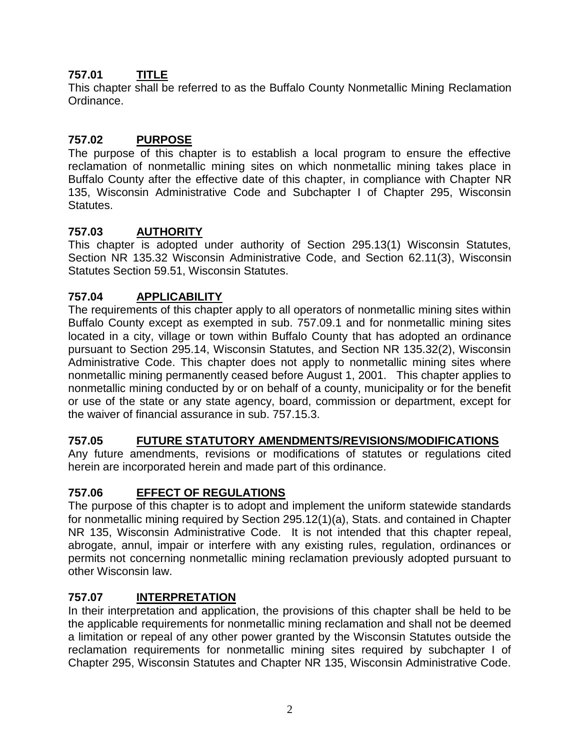# **757.01 TITLE**

This chapter shall be referred to as the Buffalo County Nonmetallic Mining Reclamation Ordinance.

# **757.02 PURPOSE**

The purpose of this chapter is to establish a local program to ensure the effective reclamation of nonmetallic mining sites on which nonmetallic mining takes place in Buffalo County after the effective date of this chapter, in compliance with Chapter NR 135, Wisconsin Administrative Code and Subchapter I of Chapter 295, Wisconsin Statutes.

# **757.03 AUTHORITY**

This chapter is adopted under authority of Section 295.13(1) Wisconsin Statutes, Section NR 135.32 Wisconsin Administrative Code, and Section 62.11(3), Wisconsin Statutes Section 59.51, Wisconsin Statutes.

# **757.04 APPLICABILITY**

The requirements of this chapter apply to all operators of nonmetallic mining sites within Buffalo County except as exempted in sub. 757.09.1 and for nonmetallic mining sites located in a city, village or town within Buffalo County that has adopted an ordinance pursuant to Section 295.14, Wisconsin Statutes, and Section NR 135.32(2), Wisconsin Administrative Code. This chapter does not apply to nonmetallic mining sites where nonmetallic mining permanently ceased before August 1, 2001. This chapter applies to nonmetallic mining conducted by or on behalf of a county, municipality or for the benefit or use of the state or any state agency, board, commission or department, except for the waiver of financial assurance in sub. 757.15.3.

### **757.05 FUTURE STATUTORY AMENDMENTS/REVISIONS/MODIFICATIONS**

Any future amendments, revisions or modifications of statutes or regulations cited herein are incorporated herein and made part of this ordinance.

# **757.06 EFFECT OF REGULATIONS**

The purpose of this chapter is to adopt and implement the uniform statewide standards for nonmetallic mining required by Section 295.12(1)(a), Stats. and contained in Chapter NR 135, Wisconsin Administrative Code. It is not intended that this chapter repeal, abrogate, annul, impair or interfere with any existing rules, regulation, ordinances or permits not concerning nonmetallic mining reclamation previously adopted pursuant to other Wisconsin law.

# **757.07 INTERPRETATION**

In their interpretation and application, the provisions of this chapter shall be held to be the applicable requirements for nonmetallic mining reclamation and shall not be deemed a limitation or repeal of any other power granted by the Wisconsin Statutes outside the reclamation requirements for nonmetallic mining sites required by subchapter I of Chapter 295, Wisconsin Statutes and Chapter NR 135, Wisconsin Administrative Code.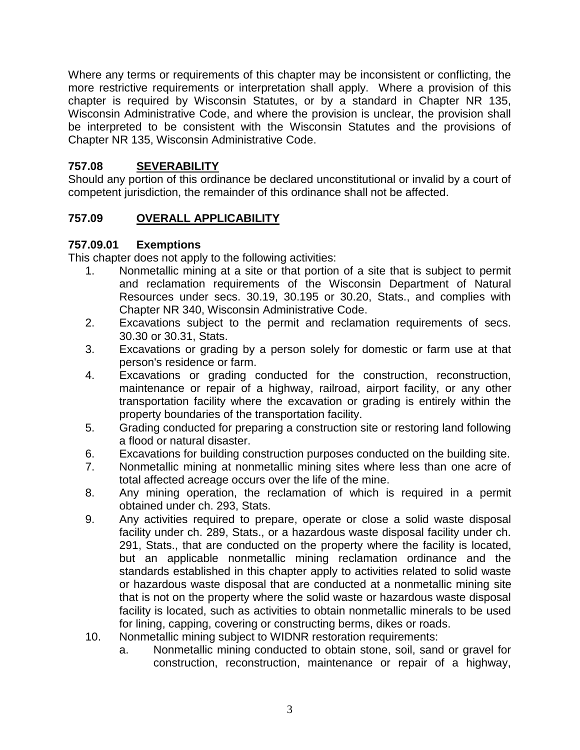Where any terms or requirements of this chapter may be inconsistent or conflicting, the more restrictive requirements or interpretation shall apply. Where a provision of this chapter is required by Wisconsin Statutes, or by a standard in Chapter NR 135, Wisconsin Administrative Code, and where the provision is unclear, the provision shall be interpreted to be consistent with the Wisconsin Statutes and the provisions of Chapter NR 135, Wisconsin Administrative Code.

# **757.08 SEVERABILITY**

Should any portion of this ordinance be declared unconstitutional or invalid by a court of competent jurisdiction, the remainder of this ordinance shall not be affected.

# **757.09 OVERALL APPLICABILITY**

# **757.09.01 Exemptions**

This chapter does not apply to the following activities:

- 1. Nonmetallic mining at a site or that portion of a site that is subject to permit and reclamation requirements of the Wisconsin Department of Natural Resources under secs. 30.19, 30.195 or 30.20, Stats., and complies with Chapter NR 340, Wisconsin Administrative Code.
- 2. Excavations subject to the permit and reclamation requirements of secs. 30.30 or 30.31, Stats.
- 3. Excavations or grading by a person solely for domestic or farm use at that person's residence or farm.
- 4. Excavations or grading conducted for the construction, reconstruction, maintenance or repair of a highway, railroad, airport facility, or any other transportation facility where the excavation or grading is entirely within the property boundaries of the transportation facility.
- 5. Grading conducted for preparing a construction site or restoring land following a flood or natural disaster.
- 6. Excavations for building construction purposes conducted on the building site.
- 7. Nonmetallic mining at nonmetallic mining sites where less than one acre of total affected acreage occurs over the life of the mine.
- 8. Any mining operation, the reclamation of which is required in a permit obtained under ch. 293, Stats.
- 9. Any activities required to prepare, operate or close a solid waste disposal facility under ch. 289, Stats., or a hazardous waste disposal facility under ch. 291, Stats., that are conducted on the property where the facility is located, but an applicable nonmetallic mining reclamation ordinance and the standards established in this chapter apply to activities related to solid waste or hazardous waste disposal that are conducted at a nonmetallic mining site that is not on the property where the solid waste or hazardous waste disposal facility is located, such as activities to obtain nonmetallic minerals to be used for lining, capping, covering or constructing berms, dikes or roads.
- 10. Nonmetallic mining subject to WIDNR restoration requirements:
	- a. Nonmetallic mining conducted to obtain stone, soil, sand or gravel for construction, reconstruction, maintenance or repair of a highway,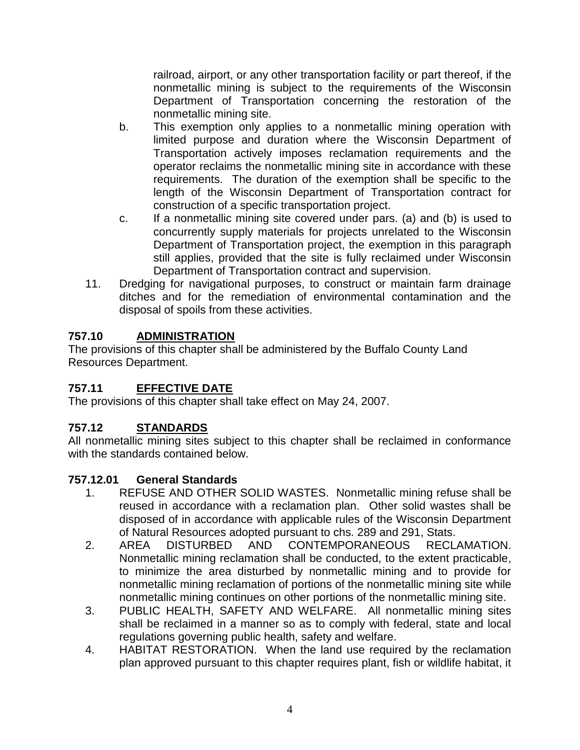railroad, airport, or any other transportation facility or part thereof, if the nonmetallic mining is subject to the requirements of the Wisconsin Department of Transportation concerning the restoration of the nonmetallic mining site.

- b. This exemption only applies to a nonmetallic mining operation with limited purpose and duration where the Wisconsin Department of Transportation actively imposes reclamation requirements and the operator reclaims the nonmetallic mining site in accordance with these requirements. The duration of the exemption shall be specific to the length of the Wisconsin Department of Transportation contract for construction of a specific transportation project.
- c. If a nonmetallic mining site covered under pars. (a) and (b) is used to concurrently supply materials for projects unrelated to the Wisconsin Department of Transportation project, the exemption in this paragraph still applies, provided that the site is fully reclaimed under Wisconsin Department of Transportation contract and supervision.
- 11. Dredging for navigational purposes, to construct or maintain farm drainage ditches and for the remediation of environmental contamination and the disposal of spoils from these activities.

# **757.10 ADMINISTRATION**

The provisions of this chapter shall be administered by the Buffalo County Land Resources Department.

# **757.11 EFFECTIVE DATE**

The provisions of this chapter shall take effect on May 24, 2007.

# **757.12 STANDARDS**

All nonmetallic mining sites subject to this chapter shall be reclaimed in conformance with the standards contained below.

### **757.12.01 General Standards**

- 1. REFUSE AND OTHER SOLID WASTES. Nonmetallic mining refuse shall be reused in accordance with a reclamation plan. Other solid wastes shall be disposed of in accordance with applicable rules of the Wisconsin Department of Natural Resources adopted pursuant to chs. 289 and 291, Stats.
- 2. AREA DISTURBED AND CONTEMPORANEOUS RECLAMATION. Nonmetallic mining reclamation shall be conducted, to the extent practicable, to minimize the area disturbed by nonmetallic mining and to provide for nonmetallic mining reclamation of portions of the nonmetallic mining site while nonmetallic mining continues on other portions of the nonmetallic mining site.
- 3. PUBLIC HEALTH, SAFETY AND WELFARE. All nonmetallic mining sites shall be reclaimed in a manner so as to comply with federal, state and local regulations governing public health, safety and welfare.
- 4. HABITAT RESTORATION. When the land use required by the reclamation plan approved pursuant to this chapter requires plant, fish or wildlife habitat, it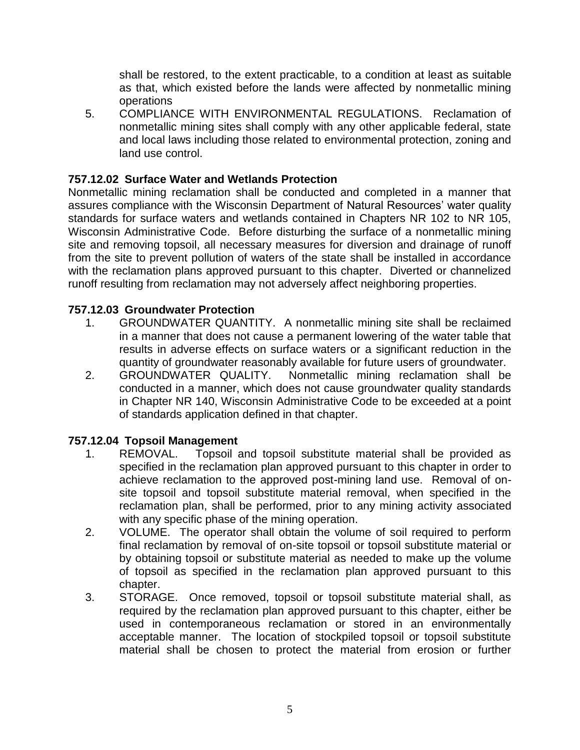shall be restored, to the extent practicable, to a condition at least as suitable as that, which existed before the lands were affected by nonmetallic mining operations

5. COMPLIANCE WITH ENVIRONMENTAL REGULATIONS. Reclamation of nonmetallic mining sites shall comply with any other applicable federal, state and local laws including those related to environmental protection, zoning and land use control.

### **757.12.02 Surface Water and Wetlands Protection**

Nonmetallic mining reclamation shall be conducted and completed in a manner that assures compliance with the Wisconsin Department of Natural Resources' water quality standards for surface waters and wetlands contained in Chapters NR 102 to NR 105, Wisconsin Administrative Code. Before disturbing the surface of a nonmetallic mining site and removing topsoil, all necessary measures for diversion and drainage of runoff from the site to prevent pollution of waters of the state shall be installed in accordance with the reclamation plans approved pursuant to this chapter. Diverted or channelized runoff resulting from reclamation may not adversely affect neighboring properties.

#### **757.12.03 Groundwater Protection**

- 1. GROUNDWATER QUANTITY. A nonmetallic mining site shall be reclaimed in a manner that does not cause a permanent lowering of the water table that results in adverse effects on surface waters or a significant reduction in the quantity of groundwater reasonably available for future users of groundwater.
- 2. GROUNDWATER QUALITY. Nonmetallic mining reclamation shall be conducted in a manner, which does not cause groundwater quality standards in Chapter NR 140, Wisconsin Administrative Code to be exceeded at a point of standards application defined in that chapter.

### **757.12.04 Topsoil Management**

- 1. REMOVAL. Topsoil and topsoil substitute material shall be provided as specified in the reclamation plan approved pursuant to this chapter in order to achieve reclamation to the approved post-mining land use. Removal of onsite topsoil and topsoil substitute material removal, when specified in the reclamation plan, shall be performed, prior to any mining activity associated with any specific phase of the mining operation.
- 2. VOLUME. The operator shall obtain the volume of soil required to perform final reclamation by removal of on-site topsoil or topsoil substitute material or by obtaining topsoil or substitute material as needed to make up the volume of topsoil as specified in the reclamation plan approved pursuant to this chapter.
- 3. STORAGE. Once removed, topsoil or topsoil substitute material shall, as required by the reclamation plan approved pursuant to this chapter, either be used in contemporaneous reclamation or stored in an environmentally acceptable manner. The location of stockpiled topsoil or topsoil substitute material shall be chosen to protect the material from erosion or further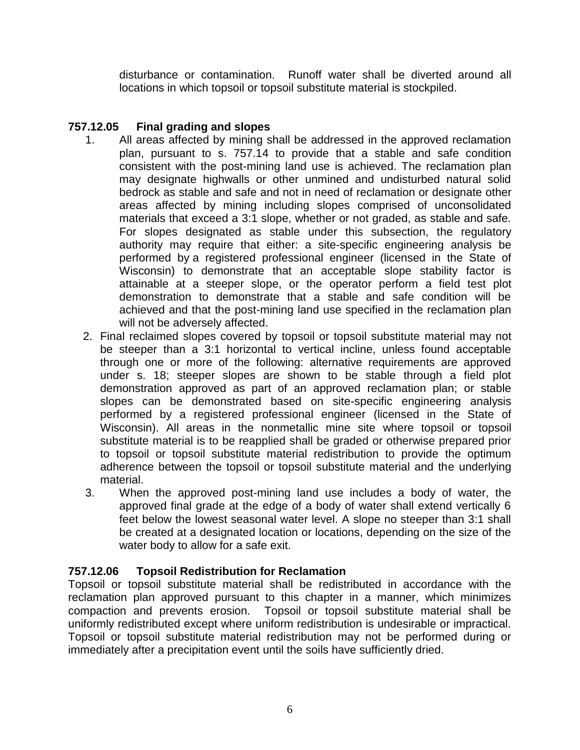disturbance or contamination. Runoff water shall be diverted around all locations in which topsoil or topsoil substitute material is stockpiled.

# **757.12.05 Final grading and slopes**

- 1. All areas affected by mining shall be addressed in the approved reclamation plan, pursuant to s. 757.14 to provide that a stable and safe condition consistent with the post-mining land use is achieved. The reclamation plan may designate highwalls or other unmined and undisturbed natural solid bedrock as stable and safe and not in need of reclamation or designate other areas affected by mining including slopes comprised of unconsolidated materials that exceed a 3:1 slope, whether or not graded, as stable and safe. For slopes designated as stable under this subsection, the regulatory authority may require that either: a site-specific engineering analysis be performed by a registered professional engineer (licensed in the State of Wisconsin) to demonstrate that an acceptable slope stability factor is attainable at a steeper slope, or the operator perform a field test plot demonstration to demonstrate that a stable and safe condition will be achieved and that the post-mining land use specified in the reclamation plan will not be adversely affected.
- 2. Final reclaimed slopes covered by topsoil or topsoil substitute material may not be steeper than a 3:1 horizontal to vertical incline, unless found acceptable through one or more of the following: alternative requirements are approved under s. 18; steeper slopes are shown to be stable through a field plot demonstration approved as part of an approved reclamation plan; or stable slopes can be demonstrated based on site-specific engineering analysis performed by a registered professional engineer (licensed in the State of Wisconsin). All areas in the nonmetallic mine site where topsoil or topsoil substitute material is to be reapplied shall be graded or otherwise prepared prior to topsoil or topsoil substitute material redistribution to provide the optimum adherence between the topsoil or topsoil substitute material and the underlying material.
- 3. When the approved post-mining land use includes a body of water, the approved final grade at the edge of a body of water shall extend vertically 6 feet below the lowest seasonal water level. A slope no steeper than 3:1 shall be created at a designated location or locations, depending on the size of the water body to allow for a safe exit.

### **757.12.06 Topsoil Redistribution for Reclamation**

Topsoil or topsoil substitute material shall be redistributed in accordance with the reclamation plan approved pursuant to this chapter in a manner, which minimizes compaction and prevents erosion. Topsoil or topsoil substitute material shall be uniformly redistributed except where uniform redistribution is undesirable or impractical. Topsoil or topsoil substitute material redistribution may not be performed during or immediately after a precipitation event until the soils have sufficiently dried.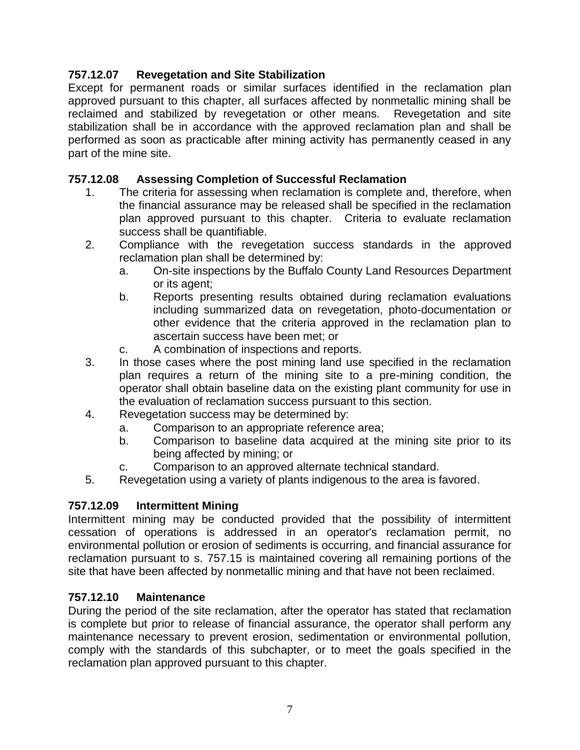# **757.12.07 Revegetation and Site Stabilization**

Except for permanent roads or similar surfaces identified in the reclamation plan approved pursuant to this chapter, all surfaces affected by nonmetallic mining shall be reclaimed and stabilized by revegetation or other means. Revegetation and site stabilization shall be in accordance with the approved reclamation plan and shall be performed as soon as practicable after mining activity has permanently ceased in any part of the mine site.

# **757.12.08 Assessing Completion of Successful Reclamation**

- 1. The criteria for assessing when reclamation is complete and, therefore, when the financial assurance may be released shall be specified in the reclamation plan approved pursuant to this chapter. Criteria to evaluate reclamation success shall be quantifiable.
- 2. Compliance with the revegetation success standards in the approved reclamation plan shall be determined by:
	- a. On-site inspections by the Buffalo County Land Resources Department or its agent;
	- b. Reports presenting results obtained during reclamation evaluations including summarized data on revegetation, photo-documentation or other evidence that the criteria approved in the reclamation plan to ascertain success have been met; or
	- c. A combination of inspections and reports.
- 3. In those cases where the post mining land use specified in the reclamation plan requires a return of the mining site to a pre-mining condition, the operator shall obtain baseline data on the existing plant community for use in the evaluation of reclamation success pursuant to this section.
- 4. Revegetation success may be determined by:
	- a. Comparison to an appropriate reference area;
	- b. Comparison to baseline data acquired at the mining site prior to its being affected by mining; or
	- c. Comparison to an approved alternate technical standard.
- 5. Revegetation using a variety of plants indigenous to the area is favored.

# **757.12.09 Intermittent Mining**

Intermittent mining may be conducted provided that the possibility of intermittent cessation of operations is addressed in an operator's reclamation permit, no environmental pollution or erosion of sediments is occurring, and financial assurance for reclamation pursuant to s. 757.15 is maintained covering all remaining portions of the site that have been affected by nonmetallic mining and that have not been reclaimed.

### **757.12.10 Maintenance**

During the period of the site reclamation, after the operator has stated that reclamation is complete but prior to release of financial assurance, the operator shall perform any maintenance necessary to prevent erosion, sedimentation or environmental pollution, comply with the standards of this subchapter, or to meet the goals specified in the reclamation plan approved pursuant to this chapter.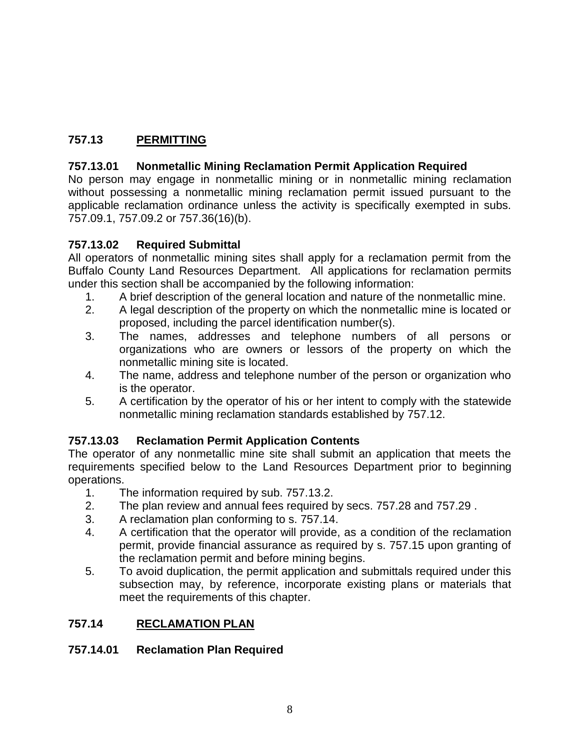# **757.13 PERMITTING**

# **757.13.01 Nonmetallic Mining Reclamation Permit Application Required**

No person may engage in nonmetallic mining or in nonmetallic mining reclamation without possessing a nonmetallic mining reclamation permit issued pursuant to the applicable reclamation ordinance unless the activity is specifically exempted in subs. 757.09.1, 757.09.2 or 757.36(16)(b).

### **757.13.02 Required Submittal**

All operators of nonmetallic mining sites shall apply for a reclamation permit from the Buffalo County Land Resources Department.All applications for reclamation permits under this section shall be accompanied by the following information:

- 1. A brief description of the general location and nature of the nonmetallic mine.
- 2. A legal description of the property on which the nonmetallic mine is located or proposed, including the parcel identification number(s).
- 3. The names, addresses and telephone numbers of all persons or organizations who are owners or lessors of the property on which the nonmetallic mining site is located.
- 4. The name, address and telephone number of the person or organization who is the operator.
- 5. A certification by the operator of his or her intent to comply with the statewide nonmetallic mining reclamation standards established by 757.12.

### **757.13.03 Reclamation Permit Application Contents**

The operator of any nonmetallic mine site shall submit an application that meets the requirements specified below to the Land Resources Department prior to beginning operations.

- 1. The information required by sub. 757.13.2.
- 2. The plan review and annual fees required by secs. 757.28 and 757.29 .
- 3. A reclamation plan conforming to s. 757.14.
- 4. A certification that the operator will provide, as a condition of the reclamation permit, provide financial assurance as required by s. 757.15 upon granting of the reclamation permit and before mining begins.
- 5. To avoid duplication, the permit application and submittals required under this subsection may, by reference, incorporate existing plans or materials that meet the requirements of this chapter.

### **757.14 RECLAMATION PLAN**

### **757.14.01 Reclamation Plan Required**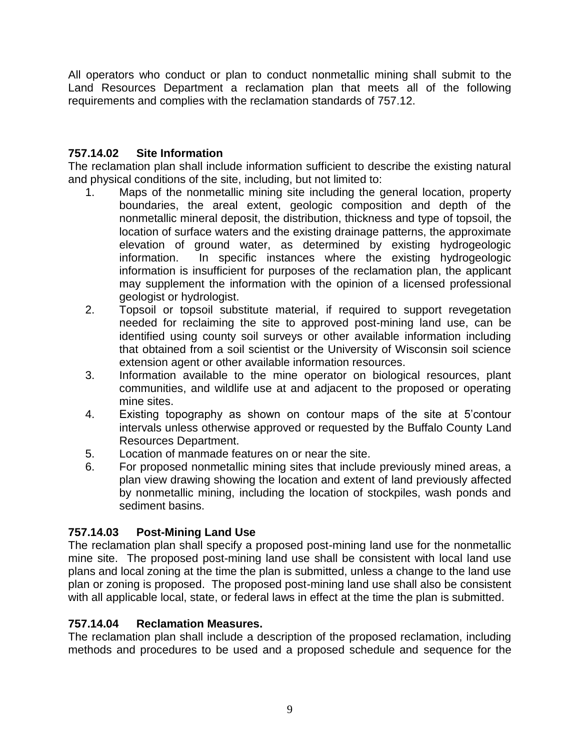All operators who conduct or plan to conduct nonmetallic mining shall submit to the Land Resources Department a reclamation plan that meets all of the following requirements and complies with the reclamation standards of 757.12.

# **757.14.02 Site Information**

The reclamation plan shall include information sufficient to describe the existing natural and physical conditions of the site, including, but not limited to:

- 1. Maps of the nonmetallic mining site including the general location, property boundaries, the areal extent, geologic composition and depth of the nonmetallic mineral deposit, the distribution, thickness and type of topsoil, the location of surface waters and the existing drainage patterns, the approximate elevation of ground water, as determined by existing hydrogeologic information. In specific instances where the existing hydrogeologic information is insufficient for purposes of the reclamation plan, the applicant may supplement the information with the opinion of a licensed professional geologist or hydrologist.
- 2. Topsoil or topsoil substitute material, if required to support revegetation needed for reclaiming the site to approved post-mining land use, can be identified using county soil surveys or other available information including that obtained from a soil scientist or the University of Wisconsin soil science extension agent or other available information resources.
- 3. Information available to the mine operator on biological resources, plant communities, and wildlife use at and adjacent to the proposed or operating mine sites.
- 4. Existing topography as shown on contour maps of the site at 5'contour intervals unless otherwise approved or requested by the Buffalo County Land Resources Department.
- 5. Location of manmade features on or near the site.
- 6. For proposed nonmetallic mining sites that include previously mined areas, a plan view drawing showing the location and extent of land previously affected by nonmetallic mining, including the location of stockpiles, wash ponds and sediment basins.

# **757.14.03 Post-Mining Land Use**

The reclamation plan shall specify a proposed post-mining land use for the nonmetallic mine site. The proposed post-mining land use shall be consistent with local land use plans and local zoning at the time the plan is submitted, unless a change to the land use plan or zoning is proposed. The proposed post-mining land use shall also be consistent with all applicable local, state, or federal laws in effect at the time the plan is submitted.

# **757.14.04 Reclamation Measures.**

The reclamation plan shall include a description of the proposed reclamation, including methods and procedures to be used and a proposed schedule and sequence for the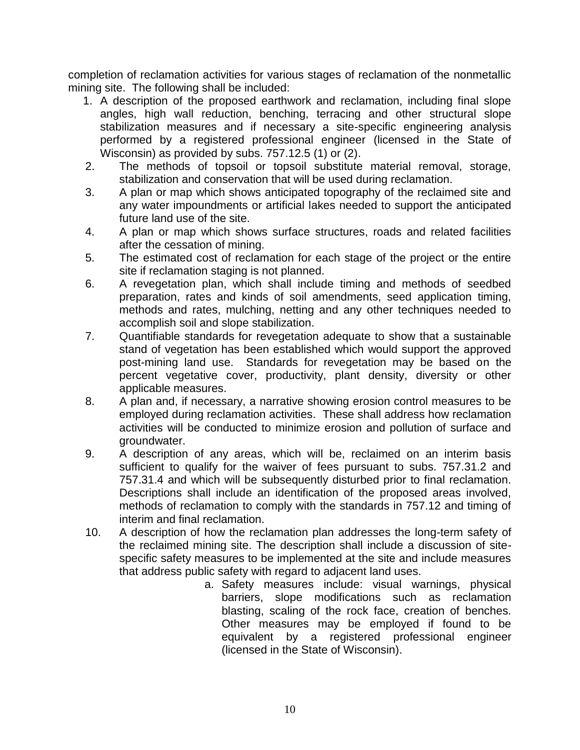completion of reclamation activities for various stages of reclamation of the nonmetallic mining site. The following shall be included:

- 1. A description of the proposed earthwork and reclamation, including final slope angles, high wall reduction, benching, terracing and other structural slope stabilization measures and if necessary a site-specific engineering analysis performed by a registered professional engineer (licensed in the State of Wisconsin) as provided by subs. 757.12.5 (1) or (2).
- 2. The methods of topsoil or topsoil substitute material removal, storage, stabilization and conservation that will be used during reclamation.
- 3. A plan or map which shows anticipated topography of the reclaimed site and any water impoundments or artificial lakes needed to support the anticipated future land use of the site.
- 4. A plan or map which shows surface structures, roads and related facilities after the cessation of mining.
- 5. The estimated cost of reclamation for each stage of the project or the entire site if reclamation staging is not planned.
- 6. A revegetation plan, which shall include timing and methods of seedbed preparation, rates and kinds of soil amendments, seed application timing, methods and rates, mulching, netting and any other techniques needed to accomplish soil and slope stabilization.
- 7. Quantifiable standards for revegetation adequate to show that a sustainable stand of vegetation has been established which would support the approved post-mining land use. Standards for revegetation may be based on the percent vegetative cover, productivity, plant density, diversity or other applicable measures.
- 8. A plan and, if necessary, a narrative showing erosion control measures to be employed during reclamation activities. These shall address how reclamation activities will be conducted to minimize erosion and pollution of surface and groundwater.
- 9. A description of any areas, which will be, reclaimed on an interim basis sufficient to qualify for the waiver of fees pursuant to subs. 757.31.2 and 757.31.4 and which will be subsequently disturbed prior to final reclamation. Descriptions shall include an identification of the proposed areas involved, methods of reclamation to comply with the standards in 757.12 and timing of interim and final reclamation.
- 10. A description of how the reclamation plan addresses the long-term safety of the reclaimed mining site. The description shall include a discussion of sitespecific safety measures to be implemented at the site and include measures that address public safety with regard to adjacent land uses.
	- a. Safety measures include: visual warnings, physical barriers, slope modifications such as reclamation blasting, scaling of the rock face, creation of benches. Other measures may be employed if found to be equivalent by a registered professional engineer (licensed in the State of Wisconsin).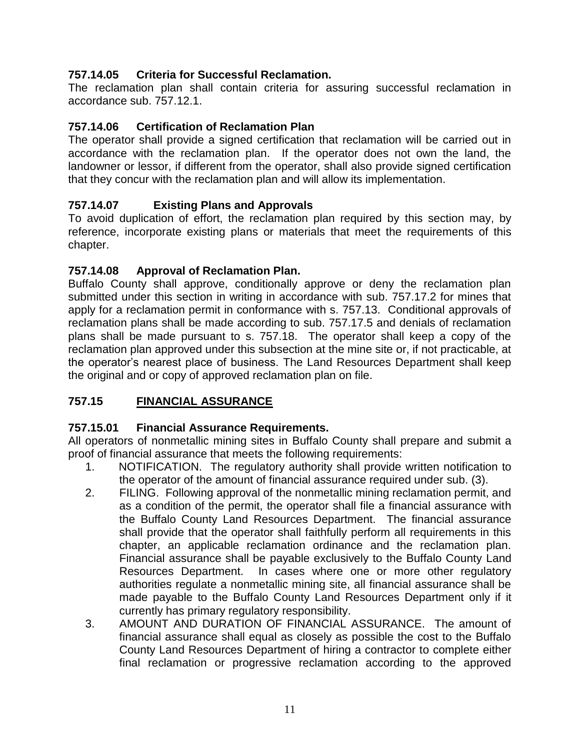### **757.14.05 Criteria for Successful Reclamation.**

The reclamation plan shall contain criteria for assuring successful reclamation in accordance sub. 757.12.1.

# **757.14.06 Certification of Reclamation Plan**

The operator shall provide a signed certification that reclamation will be carried out in accordance with the reclamation plan. If the operator does not own the land, the landowner or lessor, if different from the operator, shall also provide signed certification that they concur with the reclamation plan and will allow its implementation.

# **757.14.07 Existing Plans and Approvals**

To avoid duplication of effort, the reclamation plan required by this section may, by reference, incorporate existing plans or materials that meet the requirements of this chapter.

### **757.14.08 Approval of Reclamation Plan.**

Buffalo County shall approve, conditionally approve or deny the reclamation plan submitted under this section in writing in accordance with sub. 757.17.2 for mines that apply for a reclamation permit in conformance with s. 757.13. Conditional approvals of reclamation plans shall be made according to sub. 757.17.5 and denials of reclamation plans shall be made pursuant to s. 757.18. The operator shall keep a copy of the reclamation plan approved under this subsection at the mine site or, if not practicable, at the operator's nearest place of business. The Land Resources Department shall keep the original and or copy of approved reclamation plan on file.

# **757.15 FINANCIAL ASSURANCE**

### **757.15.01 Financial Assurance Requirements.**

All operators of nonmetallic mining sites in Buffalo County shall prepare and submit a proof of financial assurance that meets the following requirements:

- 1. NOTIFICATION. The regulatory authority shall provide written notification to the operator of the amount of financial assurance required under sub. (3).
- 2. FILING. Following approval of the nonmetallic mining reclamation permit, and as a condition of the permit, the operator shall file a financial assurance with the Buffalo County Land Resources Department. The financial assurance shall provide that the operator shall faithfully perform all requirements in this chapter, an applicable reclamation ordinance and the reclamation plan. Financial assurance shall be payable exclusively to the Buffalo County Land Resources Department. In cases where one or more other regulatory authorities regulate a nonmetallic mining site, all financial assurance shall be made payable to the Buffalo County Land Resources Department only if it currently has primary regulatory responsibility.
- 3. AMOUNT AND DURATION OF FINANCIAL ASSURANCE. The amount of financial assurance shall equal as closely as possible the cost to the Buffalo County Land Resources Department of hiring a contractor to complete either final reclamation or progressive reclamation according to the approved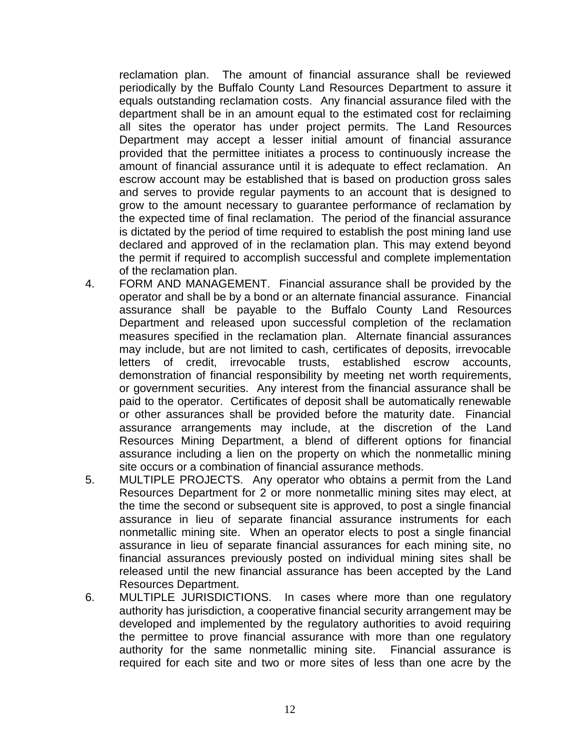reclamation plan. The amount of financial assurance shall be reviewed periodically by the Buffalo County Land Resources Department to assure it equals outstanding reclamation costs. Any financial assurance filed with the department shall be in an amount equal to the estimated cost for reclaiming all sites the operator has under project permits. The Land Resources Department may accept a lesser initial amount of financial assurance provided that the permittee initiates a process to continuously increase the amount of financial assurance until it is adequate to effect reclamation. An escrow account may be established that is based on production gross sales and serves to provide regular payments to an account that is designed to grow to the amount necessary to guarantee performance of reclamation by the expected time of final reclamation. The period of the financial assurance is dictated by the period of time required to establish the post mining land use declared and approved of in the reclamation plan. This may extend beyond the permit if required to accomplish successful and complete implementation of the reclamation plan.

- 4. FORM AND MANAGEMENT. Financial assurance shall be provided by the operator and shall be by a bond or an alternate financial assurance. Financial assurance shall be payable to the Buffalo County Land Resources Department and released upon successful completion of the reclamation measures specified in the reclamation plan. Alternate financial assurances may include, but are not limited to cash, certificates of deposits, irrevocable letters of credit, irrevocable trusts, established escrow accounts, demonstration of financial responsibility by meeting net worth requirements, or government securities. Any interest from the financial assurance shall be paid to the operator. Certificates of deposit shall be automatically renewable or other assurances shall be provided before the maturity date. Financial assurance arrangements may include, at the discretion of the Land Resources Mining Department, a blend of different options for financial assurance including a lien on the property on which the nonmetallic mining site occurs or a combination of financial assurance methods.
- 5. MULTIPLE PROJECTS. Any operator who obtains a permit from the Land Resources Department for 2 or more nonmetallic mining sites may elect, at the time the second or subsequent site is approved, to post a single financial assurance in lieu of separate financial assurance instruments for each nonmetallic mining site. When an operator elects to post a single financial assurance in lieu of separate financial assurances for each mining site, no financial assurances previously posted on individual mining sites shall be released until the new financial assurance has been accepted by the Land Resources Department.
- 6. MULTIPLE JURISDICTIONS. In cases where more than one regulatory authority has jurisdiction, a cooperative financial security arrangement may be developed and implemented by the regulatory authorities to avoid requiring the permittee to prove financial assurance with more than one regulatory authority for the same nonmetallic mining site. Financial assurance is required for each site and two or more sites of less than one acre by the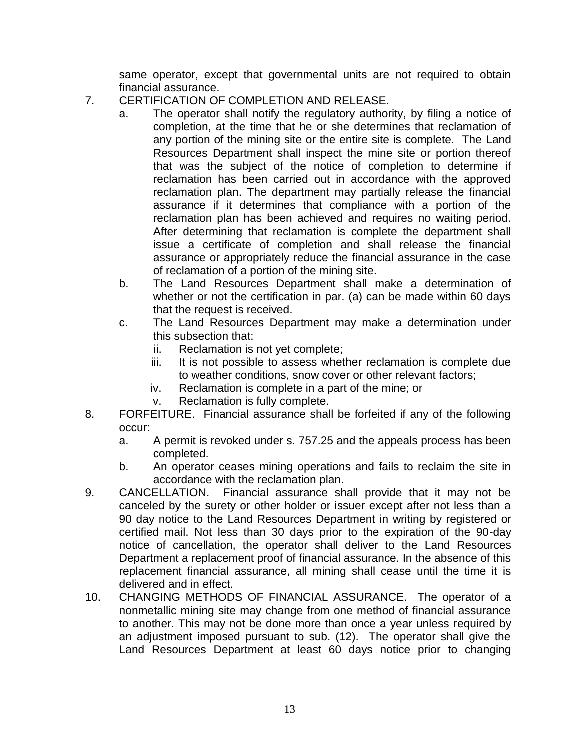same operator, except that governmental units are not required to obtain financial assurance.

- 7. CERTIFICATION OF COMPLETION AND RELEASE.
	- a. The operator shall notify the regulatory authority, by filing a notice of completion, at the time that he or she determines that reclamation of any portion of the mining site or the entire site is complete. The Land Resources Department shall inspect the mine site or portion thereof that was the subject of the notice of completion to determine if reclamation has been carried out in accordance with the approved reclamation plan. The department may partially release the financial assurance if it determines that compliance with a portion of the reclamation plan has been achieved and requires no waiting period. After determining that reclamation is complete the department shall issue a certificate of completion and shall release the financial assurance or appropriately reduce the financial assurance in the case of reclamation of a portion of the mining site.
	- b. The Land Resources Department shall make a determination of whether or not the certification in par. (a) can be made within 60 days that the request is received.
	- c. The Land Resources Department may make a determination under this subsection that:
		- ii. Reclamation is not yet complete;
		- iii. It is not possible to assess whether reclamation is complete due to weather conditions, snow cover or other relevant factors;
		- iv. Reclamation is complete in a part of the mine; or
		- v. Reclamation is fully complete.
- 8. FORFEITURE. Financial assurance shall be forfeited if any of the following occur:
	- a. A permit is revoked under s. 757.25 and the appeals process has been completed.
	- b. An operator ceases mining operations and fails to reclaim the site in accordance with the reclamation plan.
- 9. CANCELLATION. Financial assurance shall provide that it may not be canceled by the surety or other holder or issuer except after not less than a 90 day notice to the Land Resources Department in writing by registered or certified mail. Not less than 30 days prior to the expiration of the 90-day notice of cancellation, the operator shall deliver to the Land Resources Department a replacement proof of financial assurance. In the absence of this replacement financial assurance, all mining shall cease until the time it is delivered and in effect.
- 10. CHANGING METHODS OF FINANCIAL ASSURANCE. The operator of a nonmetallic mining site may change from one method of financial assurance to another. This may not be done more than once a year unless required by an adjustment imposed pursuant to sub. (12). The operator shall give the Land Resources Department at least 60 days notice prior to changing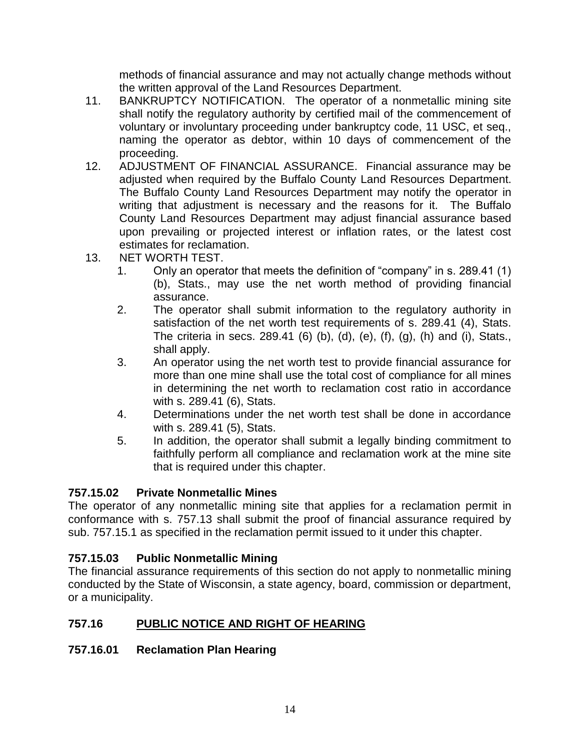methods of financial assurance and may not actually change methods without the written approval of the Land Resources Department.

- 11. BANKRUPTCY NOTIFICATION. The operator of a nonmetallic mining site shall notify the regulatory authority by certified mail of the commencement of voluntary or involuntary proceeding under bankruptcy code, 11 USC, et seq., naming the operator as debtor, within 10 days of commencement of the proceeding.
- 12. ADJUSTMENT OF FINANCIAL ASSURANCE. Financial assurance may be adjusted when required by the Buffalo County Land Resources Department. The Buffalo County Land Resources Department may notify the operator in writing that adjustment is necessary and the reasons for it. The Buffalo County Land Resources Department may adjust financial assurance based upon prevailing or projected interest or inflation rates, or the latest cost estimates for reclamation.
- 13. NET WORTH TEST.
	- 1. Only an operator that meets the definition of "company" in s. 289.41 (1) (b), Stats., may use the net worth method of providing financial assurance.
	- 2. The operator shall submit information to the regulatory authority in satisfaction of the net worth test requirements of s. 289.41 (4), Stats. The criteria in secs. 289.41 (6) (b), (d), (e), (f), (g), (h) and (i), Stats., shall apply.
	- 3. An operator using the net worth test to provide financial assurance for more than one mine shall use the total cost of compliance for all mines in determining the net worth to reclamation cost ratio in accordance with s. 289.41 (6), Stats.
	- 4. Determinations under the net worth test shall be done in accordance with s. 289.41 (5), Stats.
	- 5. In addition, the operator shall submit a legally binding commitment to faithfully perform all compliance and reclamation work at the mine site that is required under this chapter.

### **757.15.02 Private Nonmetallic Mines**

The operator of any nonmetallic mining site that applies for a reclamation permit in conformance with s. 757.13 shall submit the proof of financial assurance required by sub. 757.15.1 as specified in the reclamation permit issued to it under this chapter.

### **757.15.03 Public Nonmetallic Mining**

The financial assurance requirements of this section do not apply to nonmetallic mining conducted by the State of Wisconsin, a state agency, board, commission or department, or a municipality.

### **757.16 PUBLIC NOTICE AND RIGHT OF HEARING**

### **757.16.01 Reclamation Plan Hearing**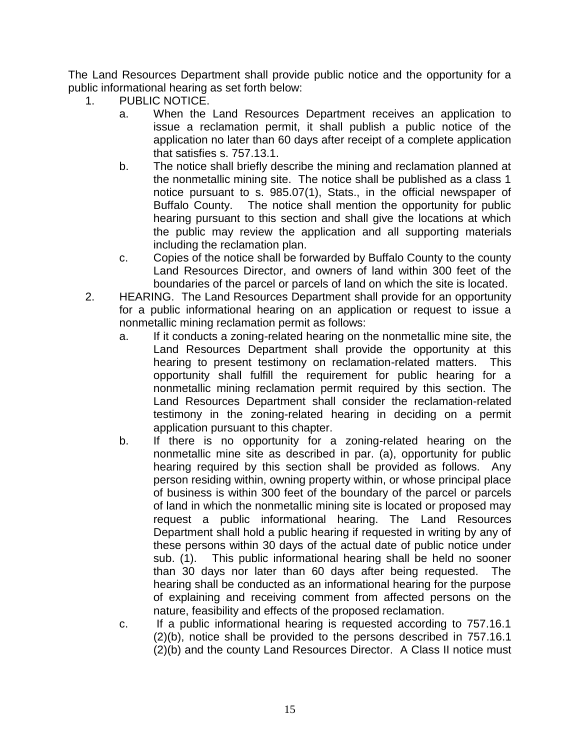The Land Resources Department shall provide public notice and the opportunity for a public informational hearing as set forth below:

- 1. PUBLIC NOTICE.
	- a. When the Land Resources Department receives an application to issue a reclamation permit, it shall publish a public notice of the application no later than 60 days after receipt of a complete application that satisfies s. 757.13.1.
	- b. The notice shall briefly describe the mining and reclamation planned at the nonmetallic mining site. The notice shall be published as a class 1 notice pursuant to s. 985.07(1), Stats., in the official newspaper of Buffalo County. The notice shall mention the opportunity for public hearing pursuant to this section and shall give the locations at which the public may review the application and all supporting materials including the reclamation plan.
	- c. Copies of the notice shall be forwarded by Buffalo County to the county Land Resources Director, and owners of land within 300 feet of the boundaries of the parcel or parcels of land on which the site is located.
- 2. HEARING. The Land Resources Department shall provide for an opportunity for a public informational hearing on an application or request to issue a nonmetallic mining reclamation permit as follows:
	- a. If it conducts a zoning-related hearing on the nonmetallic mine site, the Land Resources Department shall provide the opportunity at this hearing to present testimony on reclamation-related matters. This opportunity shall fulfill the requirement for public hearing for a nonmetallic mining reclamation permit required by this section. The Land Resources Department shall consider the reclamation-related testimony in the zoning-related hearing in deciding on a permit application pursuant to this chapter.
	- b. If there is no opportunity for a zoning-related hearing on the nonmetallic mine site as described in par. (a), opportunity for public hearing required by this section shall be provided as follows. Any person residing within, owning property within, or whose principal place of business is within 300 feet of the boundary of the parcel or parcels of land in which the nonmetallic mining site is located or proposed may request a public informational hearing. The Land Resources Department shall hold a public hearing if requested in writing by any of these persons within 30 days of the actual date of public notice under sub. (1). This public informational hearing shall be held no sooner than 30 days nor later than 60 days after being requested. The hearing shall be conducted as an informational hearing for the purpose of explaining and receiving comment from affected persons on the nature, feasibility and effects of the proposed reclamation.
	- c. If a public informational hearing is requested according to 757.16.1 (2)(b), notice shall be provided to the persons described in 757.16.1 (2)(b) and the county Land Resources Director. A Class II notice must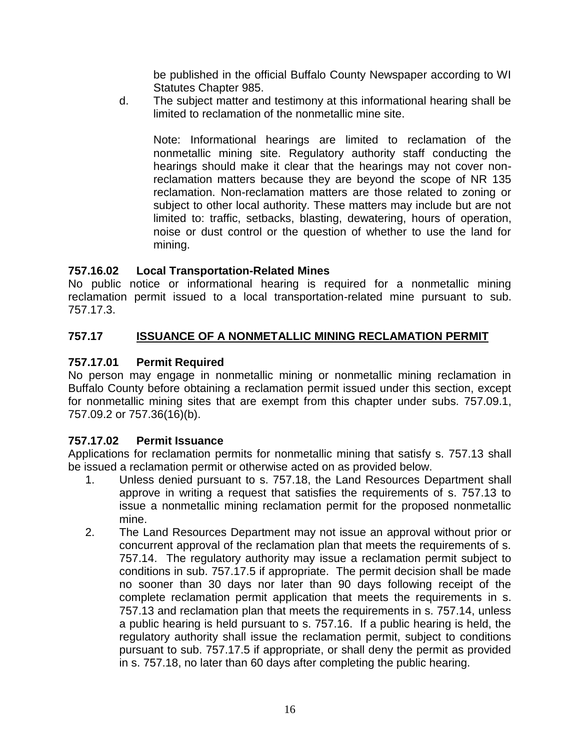be published in the official Buffalo County Newspaper according to WI Statutes Chapter 985.

d. The subject matter and testimony at this informational hearing shall be limited to reclamation of the nonmetallic mine site.

Note: Informational hearings are limited to reclamation of the nonmetallic mining site. Regulatory authority staff conducting the hearings should make it clear that the hearings may not cover nonreclamation matters because they are beyond the scope of NR 135 reclamation. Non-reclamation matters are those related to zoning or subject to other local authority. These matters may include but are not limited to: traffic, setbacks, blasting, dewatering, hours of operation, noise or dust control or the question of whether to use the land for mining.

### **757.16.02 Local Transportation-Related Mines**

No public notice or informational hearing is required for a nonmetallic mining reclamation permit issued to a local transportation-related mine pursuant to sub. 757.17.3.

# **757.17 ISSUANCE OF A NONMETALLIC MINING RECLAMATION PERMIT**

# **757.17.01 Permit Required**

No person may engage in nonmetallic mining or nonmetallic mining reclamation in Buffalo County before obtaining a reclamation permit issued under this section, except for nonmetallic mining sites that are exempt from this chapter under subs. 757.09.1, 757.09.2 or 757.36(16)(b).

### **757.17.02 Permit Issuance**

Applications for reclamation permits for nonmetallic mining that satisfy s. 757.13 shall be issued a reclamation permit or otherwise acted on as provided below.

- 1. Unless denied pursuant to s. 757.18, the Land Resources Department shall approve in writing a request that satisfies the requirements of s. 757.13 to issue a nonmetallic mining reclamation permit for the proposed nonmetallic mine.
- 2. The Land Resources Department may not issue an approval without prior or concurrent approval of the reclamation plan that meets the requirements of s. 757.14. The regulatory authority may issue a reclamation permit subject to conditions in sub. 757.17.5 if appropriate. The permit decision shall be made no sooner than 30 days nor later than 90 days following receipt of the complete reclamation permit application that meets the requirements in s. 757.13 and reclamation plan that meets the requirements in s. 757.14, unless a public hearing is held pursuant to s. 757.16. If a public hearing is held, the regulatory authority shall issue the reclamation permit, subject to conditions pursuant to sub. 757.17.5 if appropriate, or shall deny the permit as provided in s. 757.18, no later than 60 days after completing the public hearing.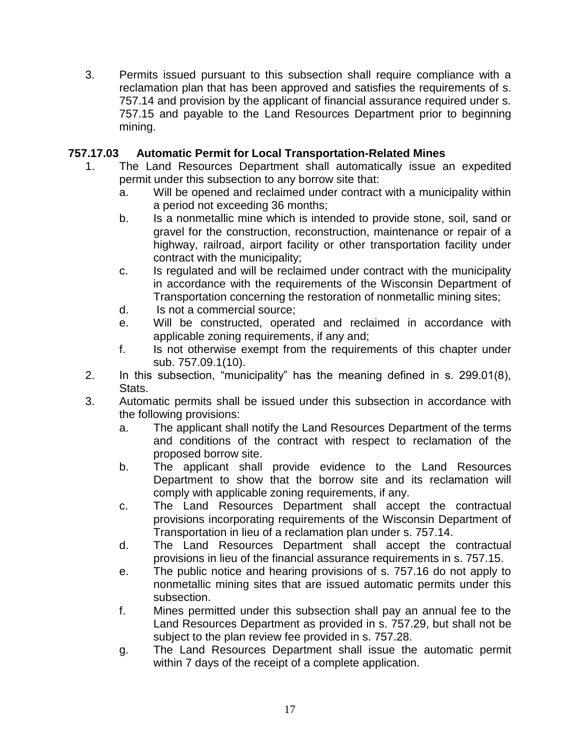3. Permits issued pursuant to this subsection shall require compliance with a reclamation plan that has been approved and satisfies the requirements of s. 757.14 and provision by the applicant of financial assurance required under s. 757.15 and payable to the Land Resources Department prior to beginning mining.

### **757.17.03 Automatic Permit for Local Transportation-Related Mines**

- 1. The Land Resources Department shall automatically issue an expedited permit under this subsection to any borrow site that:
	- a. Will be opened and reclaimed under contract with a municipality within a period not exceeding 36 months;
	- b. Is a nonmetallic mine which is intended to provide stone, soil, sand or gravel for the construction, reconstruction, maintenance or repair of a highway, railroad, airport facility or other transportation facility under contract with the municipality;
	- c. Is regulated and will be reclaimed under contract with the municipality in accordance with the requirements of the Wisconsin Department of Transportation concerning the restoration of nonmetallic mining sites;
	- d. Is not a commercial source;
	- e. Will be constructed, operated and reclaimed in accordance with applicable zoning requirements, if any and;
	- f. Is not otherwise exempt from the requirements of this chapter under sub. 757.09.1(10).
- 2. In this subsection, "municipality" has the meaning defined in s. 299.01(8), Stats.
- 3. Automatic permits shall be issued under this subsection in accordance with the following provisions:
	- a. The applicant shall notify the Land Resources Department of the terms and conditions of the contract with respect to reclamation of the proposed borrow site.
	- b. The applicant shall provide evidence to the Land Resources Department to show that the borrow site and its reclamation will comply with applicable zoning requirements, if any.
	- c. The Land Resources Department shall accept the contractual provisions incorporating requirements of the Wisconsin Department of Transportation in lieu of a reclamation plan under s. 757.14.
	- d. The Land Resources Department shall accept the contractual provisions in lieu of the financial assurance requirements in s. 757.15.
	- e. The public notice and hearing provisions of s. 757.16 do not apply to nonmetallic mining sites that are issued automatic permits under this subsection.
	- f. Mines permitted under this subsection shall pay an annual fee to the Land Resources Department as provided in s. 757.29, but shall not be subject to the plan review fee provided in s. 757.28.
	- g. The Land Resources Department shall issue the automatic permit within 7 days of the receipt of a complete application.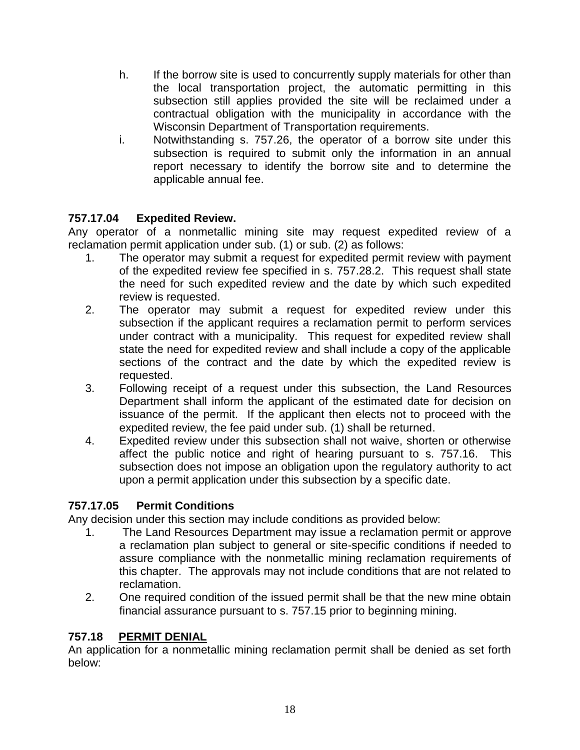- h. If the borrow site is used to concurrently supply materials for other than the local transportation project, the automatic permitting in this subsection still applies provided the site will be reclaimed under a contractual obligation with the municipality in accordance with the Wisconsin Department of Transportation requirements.
- i. Notwithstanding s. 757.26, the operator of a borrow site under this subsection is required to submit only the information in an annual report necessary to identify the borrow site and to determine the applicable annual fee.

# **757.17.04 Expedited Review.**

Any operator of a nonmetallic mining site may request expedited review of a reclamation permit application under sub. (1) or sub. (2) as follows:

- 1. The operator may submit a request for expedited permit review with payment of the expedited review fee specified in s. 757.28.2. This request shall state the need for such expedited review and the date by which such expedited review is requested.
- 2. The operator may submit a request for expedited review under this subsection if the applicant requires a reclamation permit to perform services under contract with a municipality. This request for expedited review shall state the need for expedited review and shall include a copy of the applicable sections of the contract and the date by which the expedited review is requested.
- 3. Following receipt of a request under this subsection, the Land Resources Department shall inform the applicant of the estimated date for decision on issuance of the permit. If the applicant then elects not to proceed with the expedited review, the fee paid under sub. (1) shall be returned.
- 4. Expedited review under this subsection shall not waive, shorten or otherwise affect the public notice and right of hearing pursuant to s. 757.16. This subsection does not impose an obligation upon the regulatory authority to act upon a permit application under this subsection by a specific date.

# **757.17.05 Permit Conditions**

Any decision under this section may include conditions as provided below:

- 1. The Land Resources Department may issue a reclamation permit or approve a reclamation plan subject to general or site-specific conditions if needed to assure compliance with the nonmetallic mining reclamation requirements of this chapter. The approvals may not include conditions that are not related to reclamation.
- 2. One required condition of the issued permit shall be that the new mine obtain financial assurance pursuant to s. 757.15 prior to beginning mining.

# **757.18 PERMIT DENIAL**

An application for a nonmetallic mining reclamation permit shall be denied as set forth below: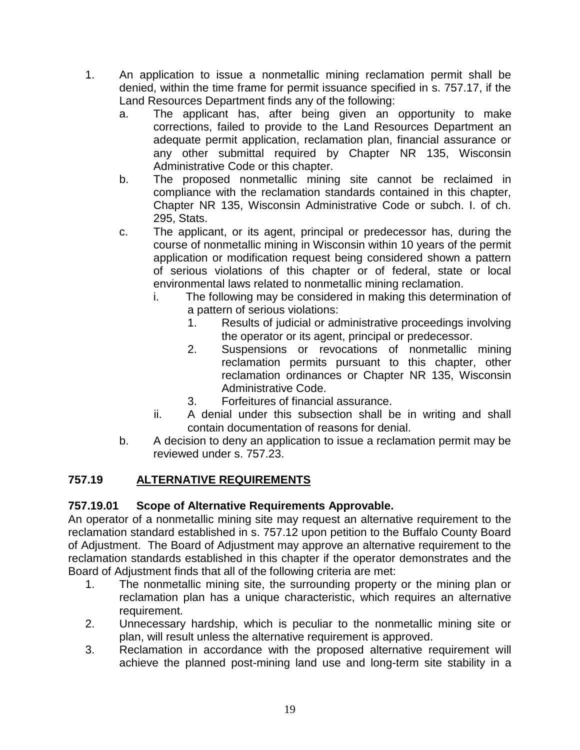- 1. An application to issue a nonmetallic mining reclamation permit shall be denied, within the time frame for permit issuance specified in s. 757.17, if the Land Resources Department finds any of the following:
	- a. The applicant has, after being given an opportunity to make corrections, failed to provide to the Land Resources Department an adequate permit application, reclamation plan, financial assurance or any other submittal required by Chapter NR 135, Wisconsin Administrative Code or this chapter.
	- b. The proposed nonmetallic mining site cannot be reclaimed in compliance with the reclamation standards contained in this chapter, Chapter NR 135, Wisconsin Administrative Code or subch. I. of ch. 295, Stats.
	- c. The applicant, or its agent, principal or predecessor has, during the course of nonmetallic mining in Wisconsin within 10 years of the permit application or modification request being considered shown a pattern of serious violations of this chapter or of federal, state or local environmental laws related to nonmetallic mining reclamation.
		- i. The following may be considered in making this determination of a pattern of serious violations:
			- 1. Results of judicial or administrative proceedings involving the operator or its agent, principal or predecessor.
			- 2. Suspensions or revocations of nonmetallic mining reclamation permits pursuant to this chapter, other reclamation ordinances or Chapter NR 135, Wisconsin Administrative Code.
			- 3. Forfeitures of financial assurance.
		- ii. A denial under this subsection shall be in writing and shall contain documentation of reasons for denial.
	- b. A decision to deny an application to issue a reclamation permit may be reviewed under s. 757.23.

# **757.19 ALTERNATIVE REQUIREMENTS**

# **757.19.01 Scope of Alternative Requirements Approvable.**

An operator of a nonmetallic mining site may request an alternative requirement to the reclamation standard established in s. 757.12 upon petition to the Buffalo County Board of Adjustment. The Board of Adjustment may approve an alternative requirement to the reclamation standards established in this chapter if the operator demonstrates and the Board of Adjustment finds that all of the following criteria are met:

- 1. The nonmetallic mining site, the surrounding property or the mining plan or reclamation plan has a unique characteristic, which requires an alternative requirement.
- 2. Unnecessary hardship, which is peculiar to the nonmetallic mining site or plan, will result unless the alternative requirement is approved.
- 3. Reclamation in accordance with the proposed alternative requirement will achieve the planned post-mining land use and long-term site stability in a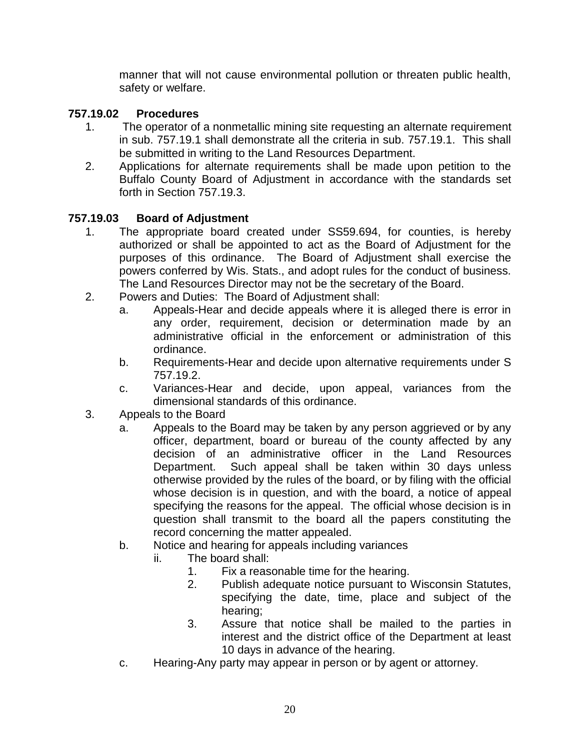manner that will not cause environmental pollution or threaten public health, safety or welfare.

# **757.19.02 Procedures**

- 1. The operator of a nonmetallic mining site requesting an alternate requirement in sub. 757.19.1 shall demonstrate all the criteria in sub. 757.19.1. This shall be submitted in writing to the Land Resources Department.
- 2. Applications for alternate requirements shall be made upon petition to the Buffalo County Board of Adjustment in accordance with the standards set forth in Section 757.19.3.

# **757.19.03 Board of Adjustment**

- 1. The appropriate board created under SS59.694, for counties, is hereby authorized or shall be appointed to act as the Board of Adjustment for the purposes of this ordinance. The Board of Adjustment shall exercise the powers conferred by Wis. Stats., and adopt rules for the conduct of business. The Land Resources Director may not be the secretary of the Board.
- 2. Powers and Duties: The Board of Adjustment shall:
	- a. Appeals-Hear and decide appeals where it is alleged there is error in any order, requirement, decision or determination made by an administrative official in the enforcement or administration of this ordinance.
	- b. Requirements-Hear and decide upon alternative requirements under S 757.19.2.
	- c. Variances-Hear and decide, upon appeal, variances from the dimensional standards of this ordinance.
- 3. Appeals to the Board
	- a. Appeals to the Board may be taken by any person aggrieved or by any officer, department, board or bureau of the county affected by any decision of an administrative officer in the Land Resources Department. Such appeal shall be taken within 30 days unless otherwise provided by the rules of the board, or by filing with the official whose decision is in question, and with the board, a notice of appeal specifying the reasons for the appeal. The official whose decision is in question shall transmit to the board all the papers constituting the record concerning the matter appealed.
	- b. Notice and hearing for appeals including variances
		- ii. The board shall:
			- 1. Fix a reasonable time for the hearing.
			- 2. Publish adequate notice pursuant to Wisconsin Statutes, specifying the date, time, place and subject of the hearing;
			- 3. Assure that notice shall be mailed to the parties in interest and the district office of the Department at least 10 days in advance of the hearing.
	- c. Hearing-Any party may appear in person or by agent or attorney.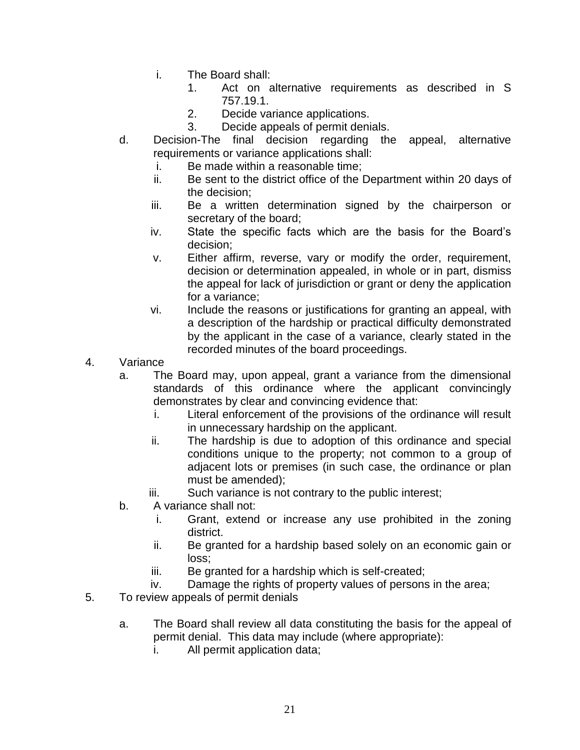- i. The Board shall:
	- 1. Act on alternative requirements as described in S 757.19.1.
	- 2. Decide variance applications.
	- 3. Decide appeals of permit denials.
- d. Decision-The final decision regarding the appeal, alternative requirements or variance applications shall:
	- i. Be made within a reasonable time;
	- ii. Be sent to the district office of the Department within 20 days of the decision;
	- iii. Be a written determination signed by the chairperson or secretary of the board;
	- iv. State the specific facts which are the basis for the Board's decision;
	- v. Either affirm, reverse, vary or modify the order, requirement, decision or determination appealed, in whole or in part, dismiss the appeal for lack of jurisdiction or grant or deny the application for a variance;
	- vi. Include the reasons or justifications for granting an appeal, with a description of the hardship or practical difficulty demonstrated by the applicant in the case of a variance, clearly stated in the recorded minutes of the board proceedings.
- 4. Variance
	- a. The Board may, upon appeal, grant a variance from the dimensional standards of this ordinance where the applicant convincingly demonstrates by clear and convincing evidence that:
		- i. Literal enforcement of the provisions of the ordinance will result in unnecessary hardship on the applicant.
		- ii. The hardship is due to adoption of this ordinance and special conditions unique to the property; not common to a group of adjacent lots or premises (in such case, the ordinance or plan must be amended);
		- iii. Such variance is not contrary to the public interest;
	- b. A variance shall not:
		- i. Grant, extend or increase any use prohibited in the zoning district.
		- ii. Be granted for a hardship based solely on an economic gain or loss;
		- iii. Be granted for a hardship which is self-created;
		- iv. Damage the rights of property values of persons in the area;
- 5. To review appeals of permit denials
	- a. The Board shall review all data constituting the basis for the appeal of permit denial. This data may include (where appropriate):
		- i. All permit application data;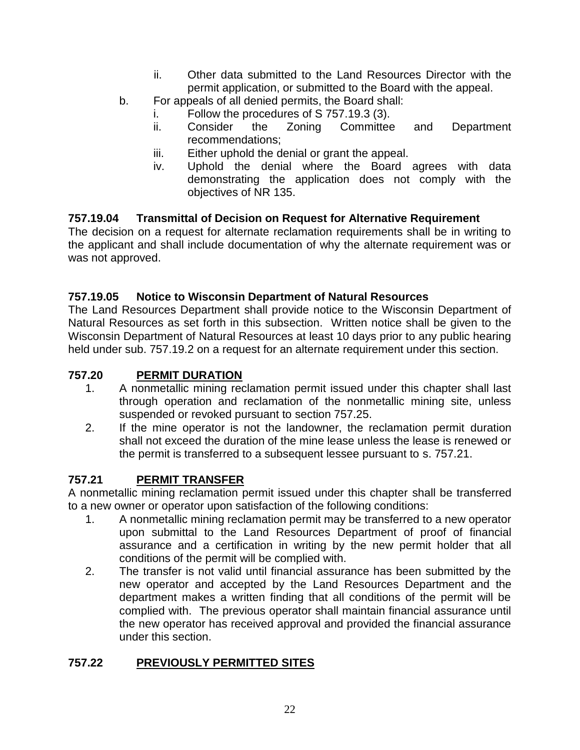- ii. Other data submitted to the Land Resources Director with the permit application, or submitted to the Board with the appeal.
- b. For appeals of all denied permits, the Board shall:
	- i. Follow the procedures of S 757.19.3 (3).
	- ii. Consider the Zoning Committee and Department recommendations;
	- iii. Either uphold the denial or grant the appeal.
	- iv. Uphold the denial where the Board agrees with data demonstrating the application does not comply with the objectives of NR 135.

#### **757.19.04 Transmittal of Decision on Request for Alternative Requirement**

The decision on a request for alternate reclamation requirements shall be in writing to the applicant and shall include documentation of why the alternate requirement was or was not approved.

#### **757.19.05 Notice to Wisconsin Department of Natural Resources**

The Land Resources Department shall provide notice to the Wisconsin Department of Natural Resources as set forth in this subsection. Written notice shall be given to the Wisconsin Department of Natural Resources at least 10 days prior to any public hearing held under sub. 757.19.2 on a request for an alternate requirement under this section.

#### **757.20 PERMIT DURATION**

- 1. A nonmetallic mining reclamation permit issued under this chapter shall last through operation and reclamation of the nonmetallic mining site, unless suspended or revoked pursuant to section 757.25.
- 2. If the mine operator is not the landowner, the reclamation permit duration shall not exceed the duration of the mine lease unless the lease is renewed or the permit is transferred to a subsequent lessee pursuant to s. 757.21.

### **757.21 PERMIT TRANSFER**

A nonmetallic mining reclamation permit issued under this chapter shall be transferred to a new owner or operator upon satisfaction of the following conditions:

- 1. A nonmetallic mining reclamation permit may be transferred to a new operator upon submittal to the Land Resources Department of proof of financial assurance and a certification in writing by the new permit holder that all conditions of the permit will be complied with.
- 2. The transfer is not valid until financial assurance has been submitted by the new operator and accepted by the Land Resources Department and the department makes a written finding that all conditions of the permit will be complied with. The previous operator shall maintain financial assurance until the new operator has received approval and provided the financial assurance under this section.

### **757.22 PREVIOUSLY PERMITTED SITES**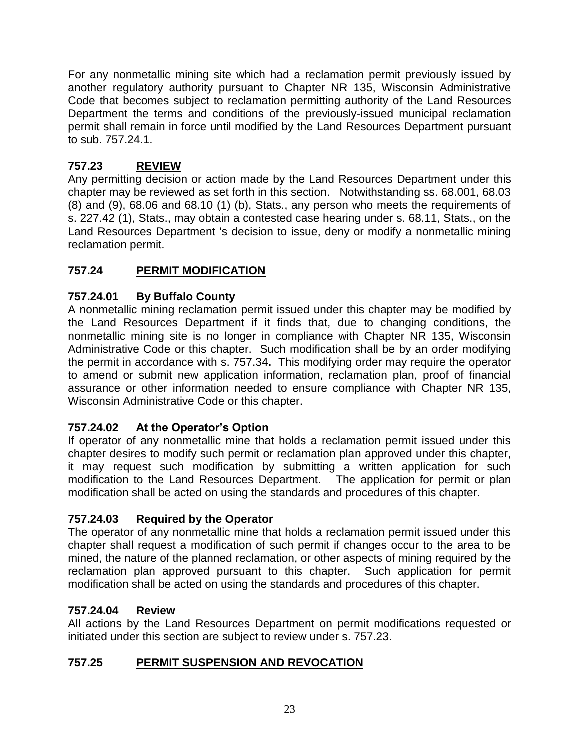For any nonmetallic mining site which had a reclamation permit previously issued by another regulatory authority pursuant to Chapter NR 135, Wisconsin Administrative Code that becomes subject to reclamation permitting authority of the Land Resources Department the terms and conditions of the previously-issued municipal reclamation permit shall remain in force until modified by the Land Resources Department pursuant to sub. 757.24.1.

# **757.23 REVIEW**

Any permitting decision or action made by the Land Resources Department under this chapter may be reviewed as set forth in this section. Notwithstanding ss. 68.001, 68.03 (8) and (9), 68.06 and 68.10 (1) (b), Stats., any person who meets the requirements of s. 227.42 (1), Stats., may obtain a contested case hearing under s. 68.11, Stats., on the Land Resources Department 's decision to issue, deny or modify a nonmetallic mining reclamation permit.

# **757.24 PERMIT MODIFICATION**

# **757.24.01 By Buffalo County**

A nonmetallic mining reclamation permit issued under this chapter may be modified by the Land Resources Department if it finds that, due to changing conditions, the nonmetallic mining site is no longer in compliance with Chapter NR 135, Wisconsin Administrative Code or this chapter. Such modification shall be by an order modifying the permit in accordance with s. 757.34**.** This modifying order may require the operator to amend or submit new application information, reclamation plan, proof of financial assurance or other information needed to ensure compliance with Chapter NR 135, Wisconsin Administrative Code or this chapter.

### **757.24.02 At the Operator's Option**

If operator of any nonmetallic mine that holds a reclamation permit issued under this chapter desires to modify such permit or reclamation plan approved under this chapter, it may request such modification by submitting a written application for such modification to the Land Resources Department. The application for permit or plan modification shall be acted on using the standards and procedures of this chapter.

### **757.24.03 Required by the Operator**

The operator of any nonmetallic mine that holds a reclamation permit issued under this chapter shall request a modification of such permit if changes occur to the area to be mined, the nature of the planned reclamation, or other aspects of mining required by the reclamation plan approved pursuant to this chapter. Such application for permit modification shall be acted on using the standards and procedures of this chapter.

### **757.24.04 Review**

All actions by the Land Resources Department on permit modifications requested or initiated under this section are subject to review under s. 757.23.

# **757.25 PERMIT SUSPENSION AND REVOCATION**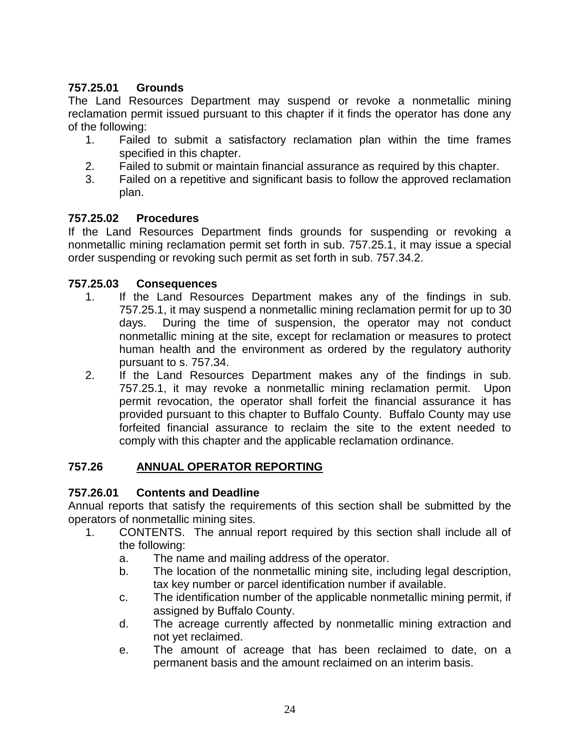# **757.25.01 Grounds**

The Land Resources Department may suspend or revoke a nonmetallic mining reclamation permit issued pursuant to this chapter if it finds the operator has done any of the following:

- 1. Failed to submit a satisfactory reclamation plan within the time frames specified in this chapter.
- 2. Failed to submit or maintain financial assurance as required by this chapter.
- 3. Failed on a repetitive and significant basis to follow the approved reclamation plan.

#### **757.25.02 Procedures**

If the Land Resources Department finds grounds for suspending or revoking a nonmetallic mining reclamation permit set forth in sub. 757.25.1, it may issue a special order suspending or revoking such permit as set forth in sub. 757.34.2.

#### **757.25.03 Consequences**

- 1. If the Land Resources Department makes any of the findings in sub. 757.25.1, it may suspend a nonmetallic mining reclamation permit for up to 30 days. During the time of suspension, the operator may not conduct nonmetallic mining at the site, except for reclamation or measures to protect human health and the environment as ordered by the regulatory authority pursuant to s. 757.34.
- 2. If the Land Resources Department makes any of the findings in sub. 757.25.1, it may revoke a nonmetallic mining reclamation permit. Upon permit revocation, the operator shall forfeit the financial assurance it has provided pursuant to this chapter to Buffalo County. Buffalo County may use forfeited financial assurance to reclaim the site to the extent needed to comply with this chapter and the applicable reclamation ordinance.

### **757.26 ANNUAL OPERATOR REPORTING**

#### **757.26.01 Contents and Deadline**

Annual reports that satisfy the requirements of this section shall be submitted by the operators of nonmetallic mining sites.

- 1. CONTENTS. The annual report required by this section shall include all of the following:
	- a. The name and mailing address of the operator.
	- b. The location of the nonmetallic mining site, including legal description, tax key number or parcel identification number if available.
	- c. The identification number of the applicable nonmetallic mining permit, if assigned by Buffalo County.
	- d. The acreage currently affected by nonmetallic mining extraction and not yet reclaimed.
	- e. The amount of acreage that has been reclaimed to date, on a permanent basis and the amount reclaimed on an interim basis.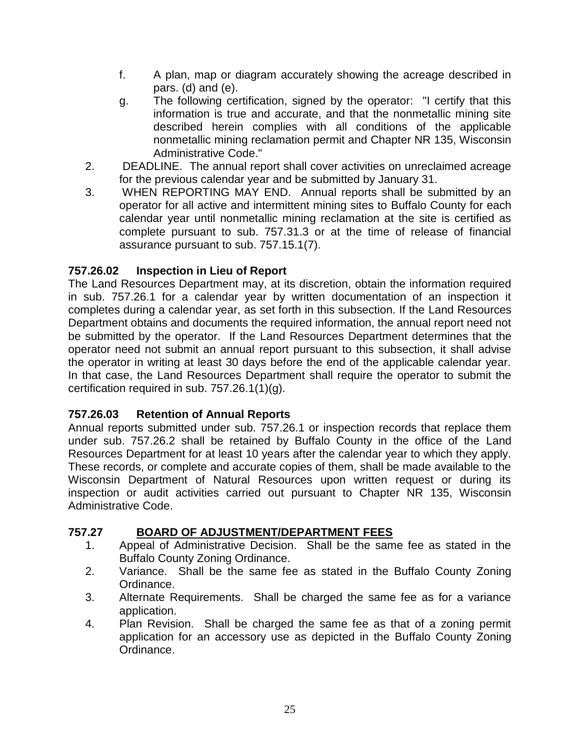- f. A plan, map or diagram accurately showing the acreage described in pars.  $(d)$  and  $(e)$ .
- g. The following certification, signed by the operator: "I certify that this information is true and accurate, and that the nonmetallic mining site described herein complies with all conditions of the applicable nonmetallic mining reclamation permit and Chapter NR 135, Wisconsin Administrative Code."
- 2. DEADLINE. The annual report shall cover activities on unreclaimed acreage for the previous calendar year and be submitted by January 31.
- 3. WHEN REPORTING MAY END. Annual reports shall be submitted by an operator for all active and intermittent mining sites to Buffalo County for each calendar year until nonmetallic mining reclamation at the site is certified as complete pursuant to sub. 757.31.3 or at the time of release of financial assurance pursuant to sub. 757.15.1(7).

# **757.26.02 Inspection in Lieu of Report**

The Land Resources Department may, at its discretion, obtain the information required in sub. 757.26.1 for a calendar year by written documentation of an inspection it completes during a calendar year, as set forth in this subsection. If the Land Resources Department obtains and documents the required information, the annual report need not be submitted by the operator. If the Land Resources Department determines that the operator need not submit an annual report pursuant to this subsection, it shall advise the operator in writing at least 30 days before the end of the applicable calendar year. In that case, the Land Resources Department shall require the operator to submit the certification required in sub. 757.26.1(1)(g).

### **757.26.03 Retention of Annual Reports**

Annual reports submitted under sub. 757.26.1 or inspection records that replace them under sub. 757.26.2 shall be retained by Buffalo County in the office of the Land Resources Department for at least 10 years after the calendar year to which they apply. These records, or complete and accurate copies of them, shall be made available to the Wisconsin Department of Natural Resources upon written request or during its inspection or audit activities carried out pursuant to Chapter NR 135, Wisconsin Administrative Code.

### **757.27 BOARD OF ADJUSTMENT/DEPARTMENT FEES**

- 1. Appeal of Administrative Decision. Shall be the same fee as stated in the Buffalo County Zoning Ordinance.
- 2. Variance. Shall be the same fee as stated in the Buffalo County Zoning Ordinance.
- 3. Alternate Requirements. Shall be charged the same fee as for a variance application.
- 4. Plan Revision. Shall be charged the same fee as that of a zoning permit application for an accessory use as depicted in the Buffalo County Zoning Ordinance.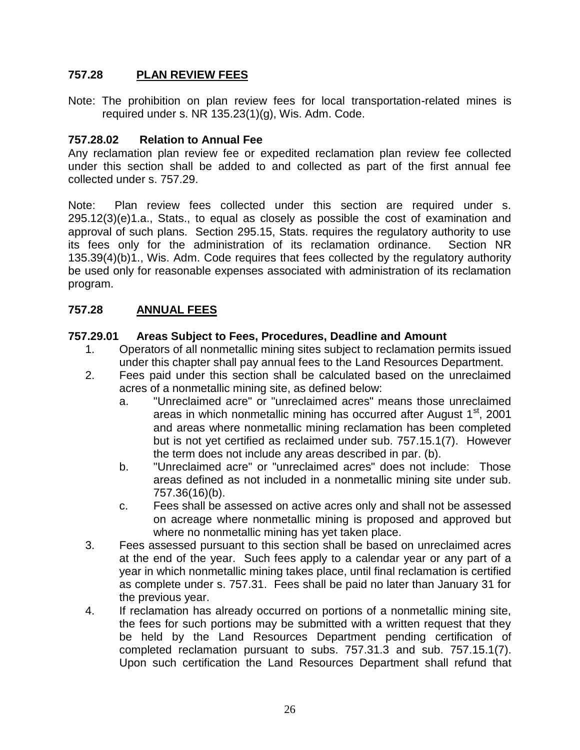### **757.28 PLAN REVIEW FEES**

Note: The prohibition on plan review fees for local transportation-related mines is required under s. NR 135.23(1)(g), Wis. Adm. Code.

#### **757.28.02 Relation to Annual Fee**

Any reclamation plan review fee or expedited reclamation plan review fee collected under this section shall be added to and collected as part of the first annual fee collected under s. 757.29.

Note: Plan review fees collected under this section are required under s. 295.12(3)(e)1.a., Stats., to equal as closely as possible the cost of examination and approval of such plans. Section 295.15, Stats. requires the regulatory authority to use its fees only for the administration of its reclamation ordinance. Section NR 135.39(4)(b)1., Wis. Adm. Code requires that fees collected by the regulatory authority be used only for reasonable expenses associated with administration of its reclamation program.

#### **757.28 ANNUAL FEES**

#### **757.29.01 Areas Subject to Fees, Procedures, Deadline and Amount**

- 1. Operators of all nonmetallic mining sites subject to reclamation permits issued under this chapter shall pay annual fees to the Land Resources Department.
- 2. Fees paid under this section shall be calculated based on the unreclaimed acres of a nonmetallic mining site, as defined below:
	- a. "Unreclaimed acre" or "unreclaimed acres" means those unreclaimed areas in which nonmetallic mining has occurred after August  $1<sup>st</sup>$ , 2001 and areas where nonmetallic mining reclamation has been completed but is not yet certified as reclaimed under sub. 757.15.1(7). However the term does not include any areas described in par. (b).
	- b. "Unreclaimed acre" or "unreclaimed acres" does not include: Those areas defined as not included in a nonmetallic mining site under sub. 757.36(16)(b).
	- c. Fees shall be assessed on active acres only and shall not be assessed on acreage where nonmetallic mining is proposed and approved but where no nonmetallic mining has yet taken place.
- 3. Fees assessed pursuant to this section shall be based on unreclaimed acres at the end of the year. Such fees apply to a calendar year or any part of a year in which nonmetallic mining takes place, until final reclamation is certified as complete under s. 757.31. Fees shall be paid no later than January 31 for the previous year.
- 4. If reclamation has already occurred on portions of a nonmetallic mining site, the fees for such portions may be submitted with a written request that they be held by the Land Resources Department pending certification of completed reclamation pursuant to subs. 757.31.3 and sub. 757.15.1(7). Upon such certification the Land Resources Department shall refund that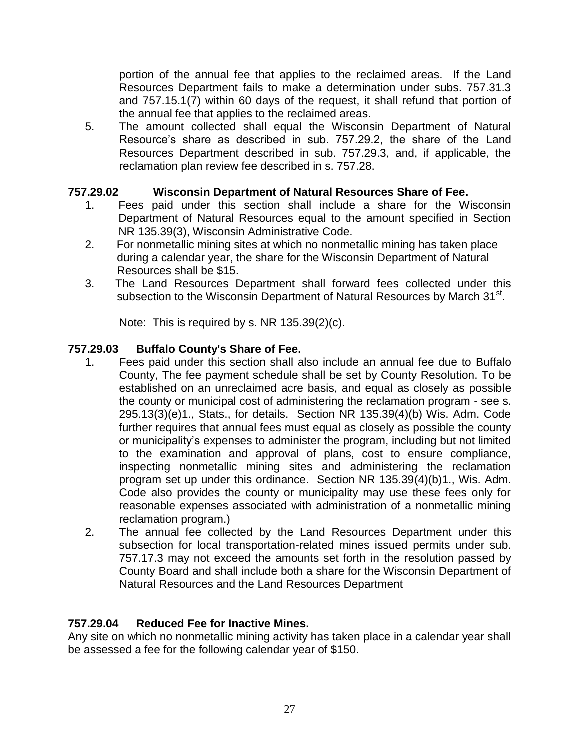portion of the annual fee that applies to the reclaimed areas. If the Land Resources Department fails to make a determination under subs. 757.31.3 and 757.15.1(7) within 60 days of the request, it shall refund that portion of the annual fee that applies to the reclaimed areas.

5. The amount collected shall equal the Wisconsin Department of Natural Resource's share as described in sub. 757.29.2, the share of the Land Resources Department described in sub. 757.29.3, and, if applicable, the reclamation plan review fee described in s. 757.28.

### **757.29.02 Wisconsin Department of Natural Resources Share of Fee.**

- 1. Fees paid under this section shall include a share for the Wisconsin Department of Natural Resources equal to the amount specified in Section NR 135.39(3), Wisconsin Administrative Code.
- 2. For nonmetallic mining sites at which no nonmetallic mining has taken place during a calendar year, the share for the Wisconsin Department of Natural Resources shall be \$15.
- 3. The Land Resources Department shall forward fees collected under this subsection to the Wisconsin Department of Natural Resources by March 31<sup>st</sup>.

Note: This is required by s. NR 135.39(2)(c).

### **757.29.03 Buffalo County's Share of Fee.**

- 1. Fees paid under this section shall also include an annual fee due to Buffalo County, The fee payment schedule shall be set by County Resolution. To be established on an unreclaimed acre basis, and equal as closely as possible the county or municipal cost of administering the reclamation program - see s. 295.13(3)(e)1., Stats., for details. Section NR 135.39(4)(b) Wis. Adm. Code further requires that annual fees must equal as closely as possible the county or municipality's expenses to administer the program, including but not limited to the examination and approval of plans, cost to ensure compliance, inspecting nonmetallic mining sites and administering the reclamation program set up under this ordinance. Section NR 135.39(4)(b)1., Wis. Adm. Code also provides the county or municipality may use these fees only for reasonable expenses associated with administration of a nonmetallic mining reclamation program.)
- 2. The annual fee collected by the Land Resources Department under this subsection for local transportation-related mines issued permits under sub. 757.17.3 may not exceed the amounts set forth in the resolution passed by County Board and shall include both a share for the Wisconsin Department of Natural Resources and the Land Resources Department

### **757.29.04 Reduced Fee for Inactive Mines.**

Any site on which no nonmetallic mining activity has taken place in a calendar year shall be assessed a fee for the following calendar year of \$150.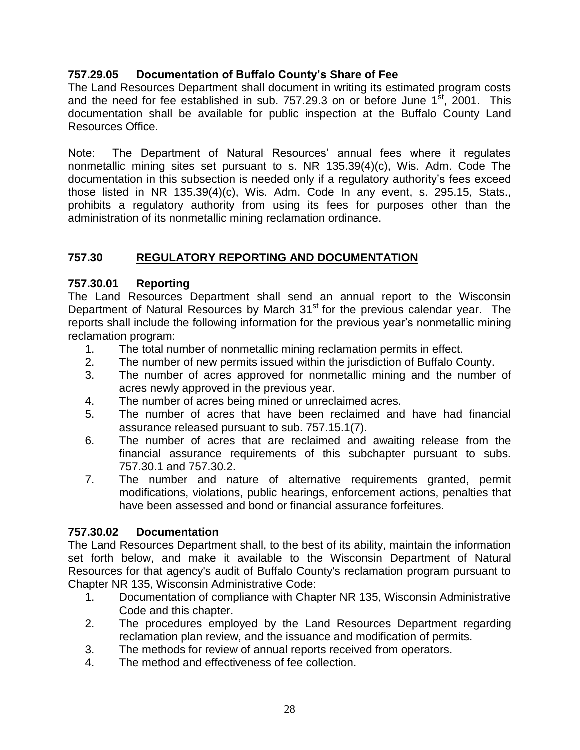# **757.29.05 Documentation of Buffalo County's Share of Fee**

The Land Resources Department shall document in writing its estimated program costs and the need for fee established in sub. 757.29.3 on or before June  $1<sup>st</sup>$ , 2001. This documentation shall be available for public inspection at the Buffalo County Land Resources Office.

Note: The Department of Natural Resources' annual fees where it regulates nonmetallic mining sites set pursuant to s. NR 135.39(4)(c), Wis. Adm. Code The documentation in this subsection is needed only if a regulatory authority's fees exceed those listed in NR 135.39(4)(c), Wis. Adm. Code In any event, s. 295.15, Stats., prohibits a regulatory authority from using its fees for purposes other than the administration of its nonmetallic mining reclamation ordinance.

# **757.30 REGULATORY REPORTING AND DOCUMENTATION**

### **757.30.01 Reporting**

The Land Resources Department shall send an annual report to the Wisconsin Department of Natural Resources by March 31<sup>st</sup> for the previous calendar year. The reports shall include the following information for the previous year's nonmetallic mining reclamation program:

- 1. The total number of nonmetallic mining reclamation permits in effect.
- 2. The number of new permits issued within the jurisdiction of Buffalo County.
- 3. The number of acres approved for nonmetallic mining and the number of acres newly approved in the previous year.
- 4. The number of acres being mined or unreclaimed acres.
- 5. The number of acres that have been reclaimed and have had financial assurance released pursuant to sub. 757.15.1(7).
- 6. The number of acres that are reclaimed and awaiting release from the financial assurance requirements of this subchapter pursuant to subs. 757.30.1 and 757.30.2.
- 7. The number and nature of alternative requirements granted, permit modifications, violations, public hearings, enforcement actions, penalties that have been assessed and bond or financial assurance forfeitures.

### **757.30.02 Documentation**

The Land Resources Department shall, to the best of its ability, maintain the information set forth below, and make it available to the Wisconsin Department of Natural Resources for that agency's audit of Buffalo County's reclamation program pursuant to Chapter NR 135, Wisconsin Administrative Code:

- 1. Documentation of compliance with Chapter NR 135, Wisconsin Administrative Code and this chapter.
- 2. The procedures employed by the Land Resources Department regarding reclamation plan review, and the issuance and modification of permits.
- 3. The methods for review of annual reports received from operators.
- 4. The method and effectiveness of fee collection.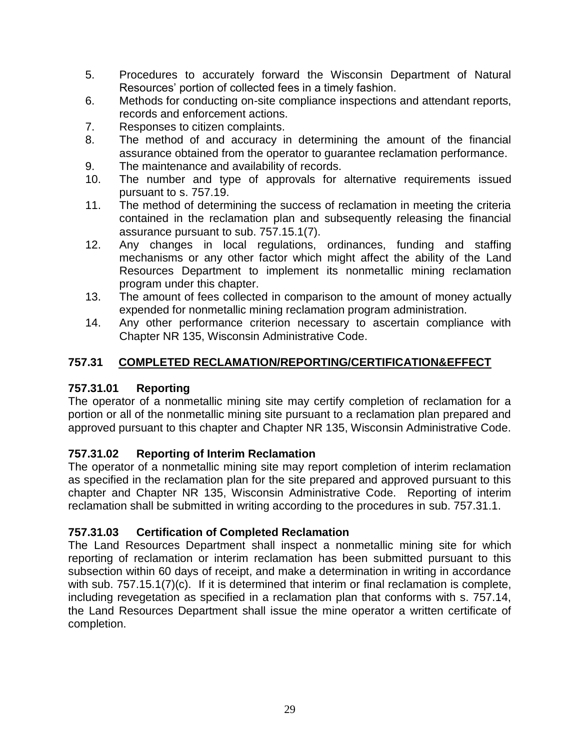- 5. Procedures to accurately forward the Wisconsin Department of Natural Resources' portion of collected fees in a timely fashion.
- 6. Methods for conducting on-site compliance inspections and attendant reports, records and enforcement actions.
- 7. Responses to citizen complaints.
- 8. The method of and accuracy in determining the amount of the financial assurance obtained from the operator to guarantee reclamation performance.
- 9. The maintenance and availability of records.
- 10. The number and type of approvals for alternative requirements issued pursuant to s. 757.19.
- 11. The method of determining the success of reclamation in meeting the criteria contained in the reclamation plan and subsequently releasing the financial assurance pursuant to sub. 757.15.1(7).
- 12. Any changes in local regulations, ordinances, funding and staffing mechanisms or any other factor which might affect the ability of the Land Resources Department to implement its nonmetallic mining reclamation program under this chapter.
- 13. The amount of fees collected in comparison to the amount of money actually expended for nonmetallic mining reclamation program administration.
- 14. Any other performance criterion necessary to ascertain compliance with Chapter NR 135, Wisconsin Administrative Code.

# **757.31 COMPLETED RECLAMATION/REPORTING/CERTIFICATION&EFFECT**

# **757.31.01 Reporting**

The operator of a nonmetallic mining site may certify completion of reclamation for a portion or all of the nonmetallic mining site pursuant to a reclamation plan prepared and approved pursuant to this chapter and Chapter NR 135, Wisconsin Administrative Code.

# **757.31.02 Reporting of Interim Reclamation**

The operator of a nonmetallic mining site may report completion of interim reclamation as specified in the reclamation plan for the site prepared and approved pursuant to this chapter and Chapter NR 135, Wisconsin Administrative Code. Reporting of interim reclamation shall be submitted in writing according to the procedures in sub. 757.31.1.

# **757.31.03 Certification of Completed Reclamation**

The Land Resources Department shall inspect a nonmetallic mining site for which reporting of reclamation or interim reclamation has been submitted pursuant to this subsection within 60 days of receipt, and make a determination in writing in accordance with sub. 757.15.1(7)(c). If it is determined that interim or final reclamation is complete, including revegetation as specified in a reclamation plan that conforms with s. 757.14, the Land Resources Department shall issue the mine operator a written certificate of completion.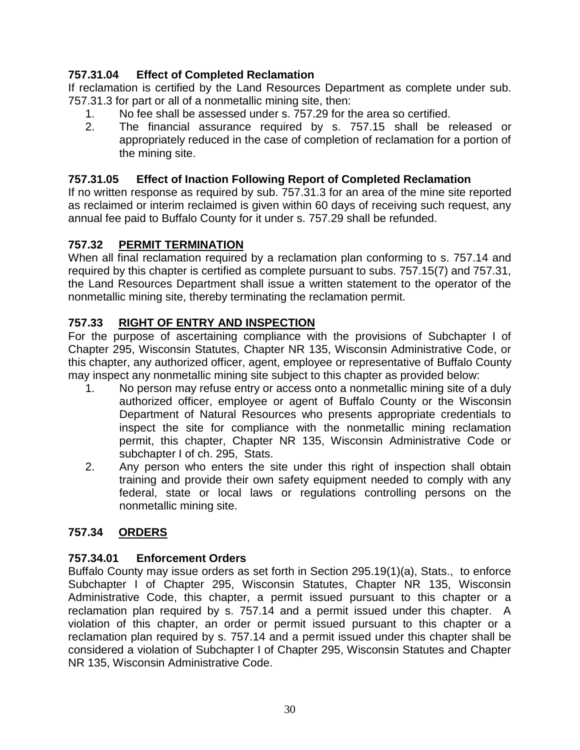# **757.31.04 Effect of Completed Reclamation**

If reclamation is certified by the Land Resources Department as complete under sub. 757.31.3 for part or all of a nonmetallic mining site, then:

- 1. No fee shall be assessed under s. 757.29 for the area so certified.
- 2. The financial assurance required by s. 757.15 shall be released or appropriately reduced in the case of completion of reclamation for a portion of the mining site.

# **757.31.05 Effect of Inaction Following Report of Completed Reclamation**

If no written response as required by sub. 757.31.3 for an area of the mine site reported as reclaimed or interim reclaimed is given within 60 days of receiving such request, any annual fee paid to Buffalo County for it under s. 757.29 shall be refunded.

# **757.32 PERMIT TERMINATION**

When all final reclamation required by a reclamation plan conforming to s. 757.14 and required by this chapter is certified as complete pursuant to subs. 757.15(7) and 757.31, the Land Resources Department shall issue a written statement to the operator of the nonmetallic mining site, thereby terminating the reclamation permit.

# **757.33 RIGHT OF ENTRY AND INSPECTION**

For the purpose of ascertaining compliance with the provisions of Subchapter I of Chapter 295, Wisconsin Statutes, Chapter NR 135, Wisconsin Administrative Code, or this chapter, any authorized officer, agent, employee or representative of Buffalo County may inspect any nonmetallic mining site subject to this chapter as provided below:

- 1. No person may refuse entry or access onto a nonmetallic mining site of a duly authorized officer, employee or agent of Buffalo County or the Wisconsin Department of Natural Resources who presents appropriate credentials to inspect the site for compliance with the nonmetallic mining reclamation permit, this chapter, Chapter NR 135, Wisconsin Administrative Code or subchapter I of ch. 295, Stats.
- 2. Any person who enters the site under this right of inspection shall obtain training and provide their own safety equipment needed to comply with any federal, state or local laws or regulations controlling persons on the nonmetallic mining site.

### **757.34 ORDERS**

### **757.34.01 Enforcement Orders**

Buffalo County may issue orders as set forth in Section 295.19(1)(a), Stats., to enforce Subchapter I of Chapter 295, Wisconsin Statutes, Chapter NR 135, Wisconsin Administrative Code, this chapter, a permit issued pursuant to this chapter or a reclamation plan required by s. 757.14 and a permit issued under this chapter. A violation of this chapter, an order or permit issued pursuant to this chapter or a reclamation plan required by s. 757.14 and a permit issued under this chapter shall be considered a violation of Subchapter I of Chapter 295, Wisconsin Statutes and Chapter NR 135, Wisconsin Administrative Code.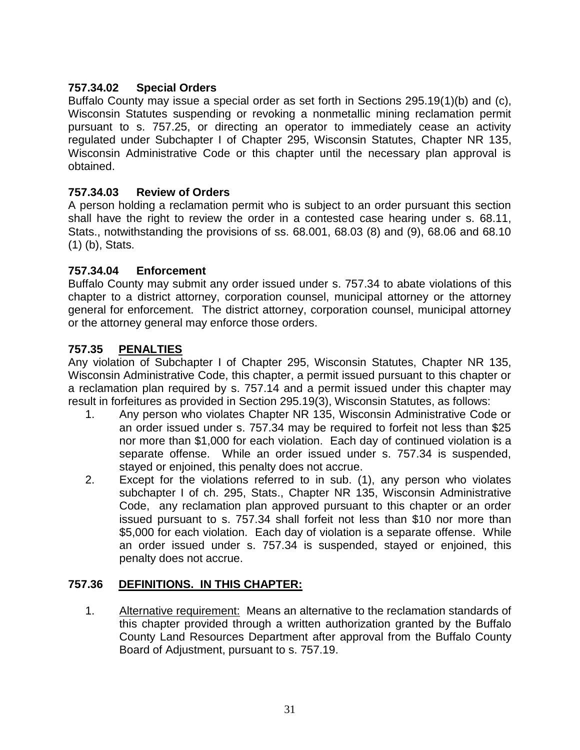# **757.34.02 Special Orders**

Buffalo County may issue a special order as set forth in Sections 295.19(1)(b) and (c), Wisconsin Statutes suspending or revoking a nonmetallic mining reclamation permit pursuant to s. 757.25, or directing an operator to immediately cease an activity regulated under Subchapter I of Chapter 295, Wisconsin Statutes, Chapter NR 135, Wisconsin Administrative Code or this chapter until the necessary plan approval is obtained.

### **757.34.03 Review of Orders**

A person holding a reclamation permit who is subject to an order pursuant this section shall have the right to review the order in a contested case hearing under s. 68.11, Stats., notwithstanding the provisions of ss. 68.001, 68.03 (8) and (9), 68.06 and 68.10 (1) (b), Stats.

#### **757.34.04 Enforcement**

Buffalo County may submit any order issued under s. 757.34 to abate violations of this chapter to a district attorney, corporation counsel, municipal attorney or the attorney general for enforcement. The district attorney, corporation counsel, municipal attorney or the attorney general may enforce those orders.

### **757.35 PENALTIES**

Any violation of Subchapter I of Chapter 295, Wisconsin Statutes, Chapter NR 135, Wisconsin Administrative Code, this chapter, a permit issued pursuant to this chapter or a reclamation plan required by s. 757.14 and a permit issued under this chapter may result in forfeitures as provided in Section 295.19(3), Wisconsin Statutes, as follows:

- 1. Any person who violates Chapter NR 135, Wisconsin Administrative Code or an order issued under s. 757.34 may be required to forfeit not less than \$25 nor more than \$1,000 for each violation. Each day of continued violation is a separate offense. While an order issued under s. 757.34 is suspended, stayed or enjoined, this penalty does not accrue.
- 2. Except for the violations referred to in sub. (1), any person who violates subchapter I of ch. 295, Stats., Chapter NR 135, Wisconsin Administrative Code, any reclamation plan approved pursuant to this chapter or an order issued pursuant to s. 757.34 shall forfeit not less than \$10 nor more than \$5,000 for each violation. Each day of violation is a separate offense. While an order issued under s. 757.34 is suspended, stayed or enjoined, this penalty does not accrue.

### **757.36 DEFINITIONS. IN THIS CHAPTER:**

1. Alternative requirement: Means an alternative to the reclamation standards of this chapter provided through a written authorization granted by the Buffalo County Land Resources Department after approval from the Buffalo County Board of Adjustment, pursuant to s. 757.19.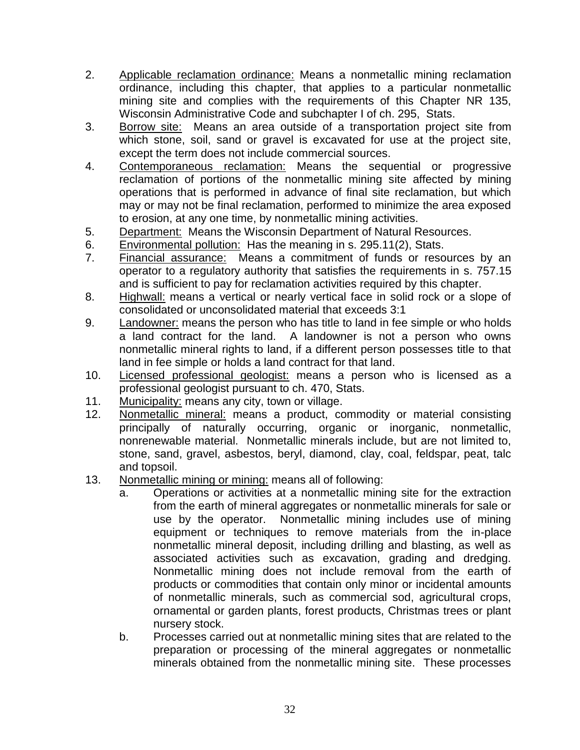- 2. Applicable reclamation ordinance: Means a nonmetallic mining reclamation ordinance, including this chapter, that applies to a particular nonmetallic mining site and complies with the requirements of this Chapter NR 135, Wisconsin Administrative Code and subchapter I of ch. 295, Stats.
- 3. Borrow site: Means an area outside of a transportation project site from which stone, soil, sand or gravel is excavated for use at the project site, except the term does not include commercial sources.
- 4. Contemporaneous reclamation: Means the sequential or progressive reclamation of portions of the nonmetallic mining site affected by mining operations that is performed in advance of final site reclamation, but which may or may not be final reclamation, performed to minimize the area exposed to erosion, at any one time, by nonmetallic mining activities.
- 5. Department: Means the Wisconsin Department of Natural Resources.
- 6. Environmental pollution: Has the meaning in s. 295.11(2), Stats.
- 7. Financial assurance: Means a commitment of funds or resources by an operator to a regulatory authority that satisfies the requirements in s. 757.15 and is sufficient to pay for reclamation activities required by this chapter.
- 8. Highwall: means a vertical or nearly vertical face in solid rock or a slope of consolidated or unconsolidated material that exceeds 3:1
- 9. Landowner: means the person who has title to land in fee simple or who holds a land contract for the land. A landowner is not a person who owns nonmetallic mineral rights to land, if a different person possesses title to that land in fee simple or holds a land contract for that land.
- 10. Licensed professional geologist: means a person who is licensed as a professional geologist pursuant to ch. 470, Stats.
- 11. Municipality: means any city, town or village.
- 12. Nonmetallic mineral: means a product, commodity or material consisting principally of naturally occurring, organic or inorganic, nonmetallic, nonrenewable material. Nonmetallic minerals include, but are not limited to, stone, sand, gravel, asbestos, beryl, diamond, clay, coal, feldspar, peat, talc and topsoil.
- 13. Nonmetallic mining or mining: means all of following:
	- a. Operations or activities at a nonmetallic mining site for the extraction from the earth of mineral aggregates or nonmetallic minerals for sale or use by the operator. Nonmetallic mining includes use of mining equipment or techniques to remove materials from the in-place nonmetallic mineral deposit, including drilling and blasting, as well as associated activities such as excavation, grading and dredging. Nonmetallic mining does not include removal from the earth of products or commodities that contain only minor or incidental amounts of nonmetallic minerals, such as commercial sod, agricultural crops, ornamental or garden plants, forest products, Christmas trees or plant nursery stock.
	- b. Processes carried out at nonmetallic mining sites that are related to the preparation or processing of the mineral aggregates or nonmetallic minerals obtained from the nonmetallic mining site. These processes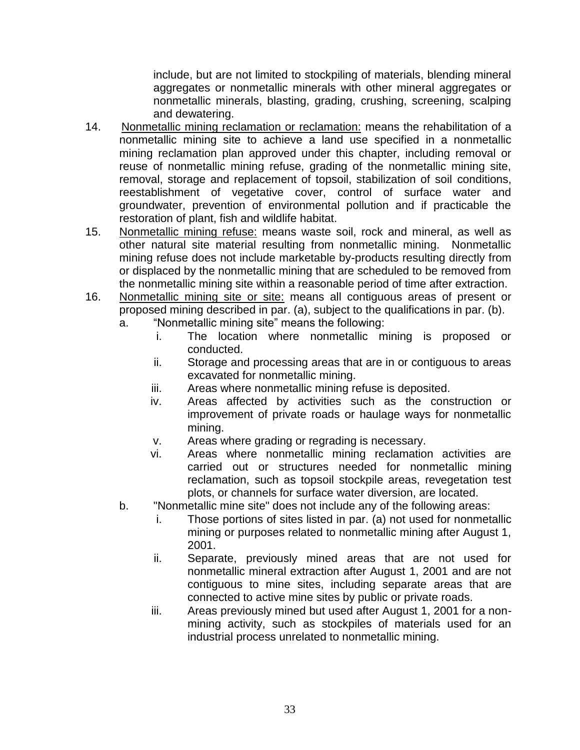include, but are not limited to stockpiling of materials, blending mineral aggregates or nonmetallic minerals with other mineral aggregates or nonmetallic minerals, blasting, grading, crushing, screening, scalping and dewatering.

- 14. Nonmetallic mining reclamation or reclamation: means the rehabilitation of a nonmetallic mining site to achieve a land use specified in a nonmetallic mining reclamation plan approved under this chapter, including removal or reuse of nonmetallic mining refuse, grading of the nonmetallic mining site, removal, storage and replacement of topsoil, stabilization of soil conditions, reestablishment of vegetative cover, control of surface water and groundwater, prevention of environmental pollution and if practicable the restoration of plant, fish and wildlife habitat.
- 15. Nonmetallic mining refuse: means waste soil, rock and mineral, as well as other natural site material resulting from nonmetallic mining. Nonmetallic mining refuse does not include marketable by-products resulting directly from or displaced by the nonmetallic mining that are scheduled to be removed from the nonmetallic mining site within a reasonable period of time after extraction.
- 16. Nonmetallic mining site or site: means all contiguous areas of present or proposed mining described in par. (a), subject to the qualifications in par. (b).
	- a. "Nonmetallic mining site" means the following:
		- i. The location where nonmetallic mining is proposed or conducted.
		- ii. Storage and processing areas that are in or contiguous to areas excavated for nonmetallic mining.
		- iii. Areas where nonmetallic mining refuse is deposited.
		- iv. Areas affected by activities such as the construction or improvement of private roads or haulage ways for nonmetallic mining.
		- v. Areas where grading or regrading is necessary.
		- vi. Areas where nonmetallic mining reclamation activities are carried out or structures needed for nonmetallic mining reclamation, such as topsoil stockpile areas, revegetation test plots, or channels for surface water diversion, are located.
	- b. "Nonmetallic mine site" does not include any of the following areas:
		- i. Those portions of sites listed in par. (a) not used for nonmetallic mining or purposes related to nonmetallic mining after August 1, 2001.
		- ii. Separate, previously mined areas that are not used for nonmetallic mineral extraction after August 1, 2001 and are not contiguous to mine sites, including separate areas that are connected to active mine sites by public or private roads.
		- iii. Areas previously mined but used after August 1, 2001 for a nonmining activity, such as stockpiles of materials used for an industrial process unrelated to nonmetallic mining.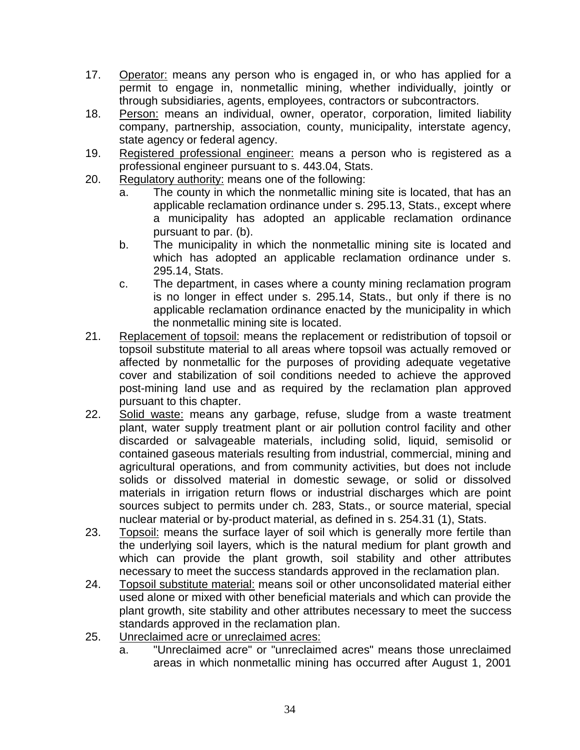- 17. Operator: means any person who is engaged in, or who has applied for a permit to engage in, nonmetallic mining, whether individually, jointly or through subsidiaries, agents, employees, contractors or subcontractors.
- 18. Person: means an individual, owner, operator, corporation, limited liability company, partnership, association, county, municipality, interstate agency, state agency or federal agency.
- 19. Registered professional engineer: means a person who is registered as a professional engineer pursuant to s. 443.04, Stats.
- 20. Regulatory authority: means one of the following:
	- a. The county in which the nonmetallic mining site is located, that has an applicable reclamation ordinance under s. 295.13, Stats., except where a municipality has adopted an applicable reclamation ordinance pursuant to par. (b).
	- b. The municipality in which the nonmetallic mining site is located and which has adopted an applicable reclamation ordinance under s. 295.14, Stats.
	- c. The department, in cases where a county mining reclamation program is no longer in effect under s. 295.14, Stats., but only if there is no applicable reclamation ordinance enacted by the municipality in which the nonmetallic mining site is located.
- 21. Replacement of topsoil: means the replacement or redistribution of topsoil or topsoil substitute material to all areas where topsoil was actually removed or affected by nonmetallic for the purposes of providing adequate vegetative cover and stabilization of soil conditions needed to achieve the approved post-mining land use and as required by the reclamation plan approved pursuant to this chapter.
- 22. Solid waste: means any garbage, refuse, sludge from a waste treatment plant, water supply treatment plant or air pollution control facility and other discarded or salvageable materials, including solid, liquid, semisolid or contained gaseous materials resulting from industrial, commercial, mining and agricultural operations, and from community activities, but does not include solids or dissolved material in domestic sewage, or solid or dissolved materials in irrigation return flows or industrial discharges which are point sources subject to permits under ch. 283, Stats., or source material, special nuclear material or by-product material, as defined in s. 254.31 (1), Stats.
- 23. Topsoil: means the surface layer of soil which is generally more fertile than the underlying soil layers, which is the natural medium for plant growth and which can provide the plant growth, soil stability and other attributes necessary to meet the success standards approved in the reclamation plan.
- 24. Topsoil substitute material: means soil or other unconsolidated material either used alone or mixed with other beneficial materials and which can provide the plant growth, site stability and other attributes necessary to meet the success standards approved in the reclamation plan.
- 25. Unreclaimed acre or unreclaimed acres:
	- a. "Unreclaimed acre" or "unreclaimed acres" means those unreclaimed areas in which nonmetallic mining has occurred after August 1, 2001